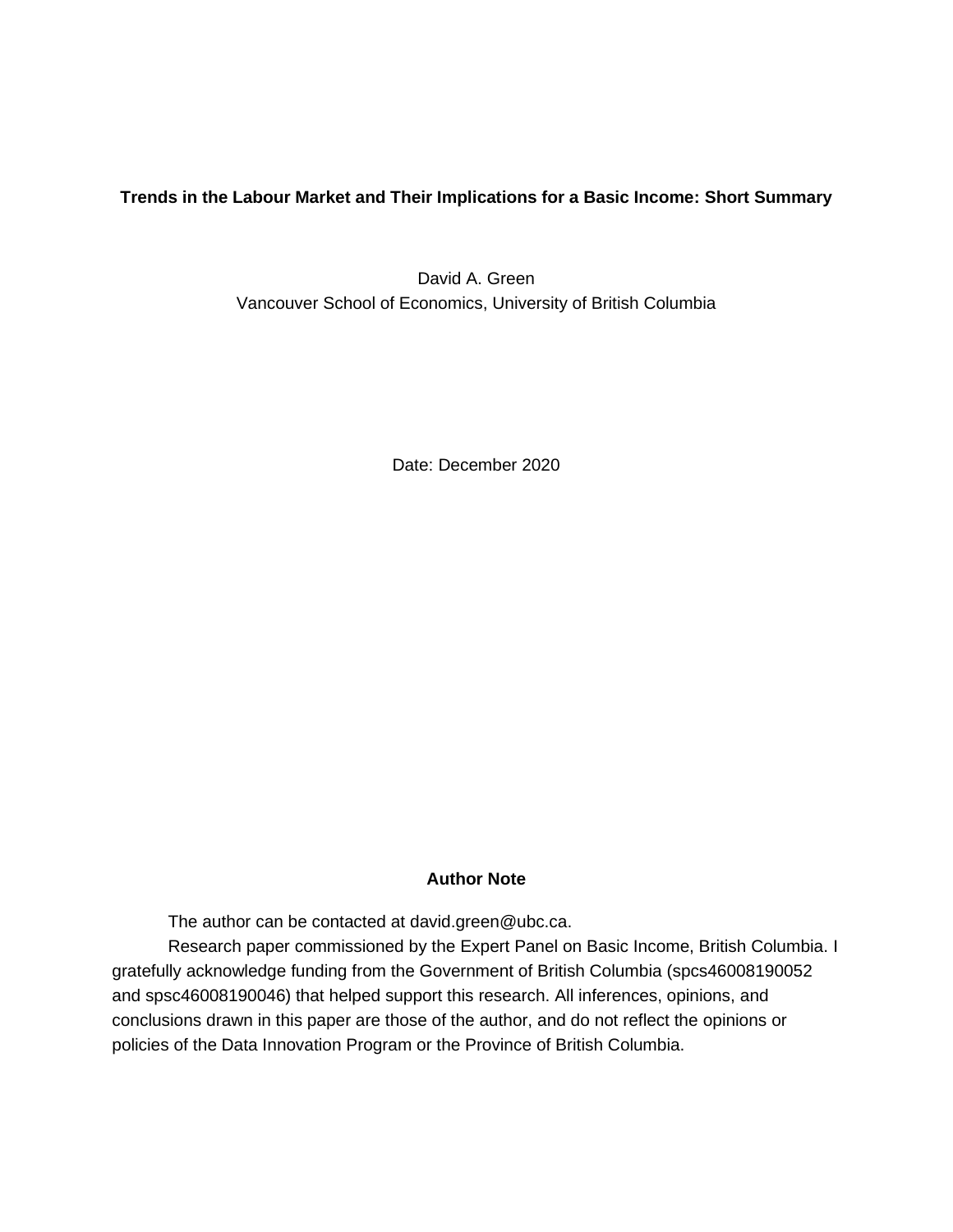**Trends in the Labour Market and Their Implications for a Basic Income: Short Summary**

David A. Green Vancouver School of Economics, University of British Columbia

Date: December 2020

# **Author Note**

The author can be contacted at [david.green@ubc.ca.](mailto:david.green@ubc.ca)

Research paper commissioned by the Expert Panel on Basic Income, British Columbia. I gratefully acknowledge funding from the Government of British Columbia (spcs46008190052 and spsc46008190046) that helped support this research. All inferences, opinions, and conclusions drawn in this paper are those of the author, and do not reflect the opinions or policies of the Data Innovation Program or the Province of British Columbia.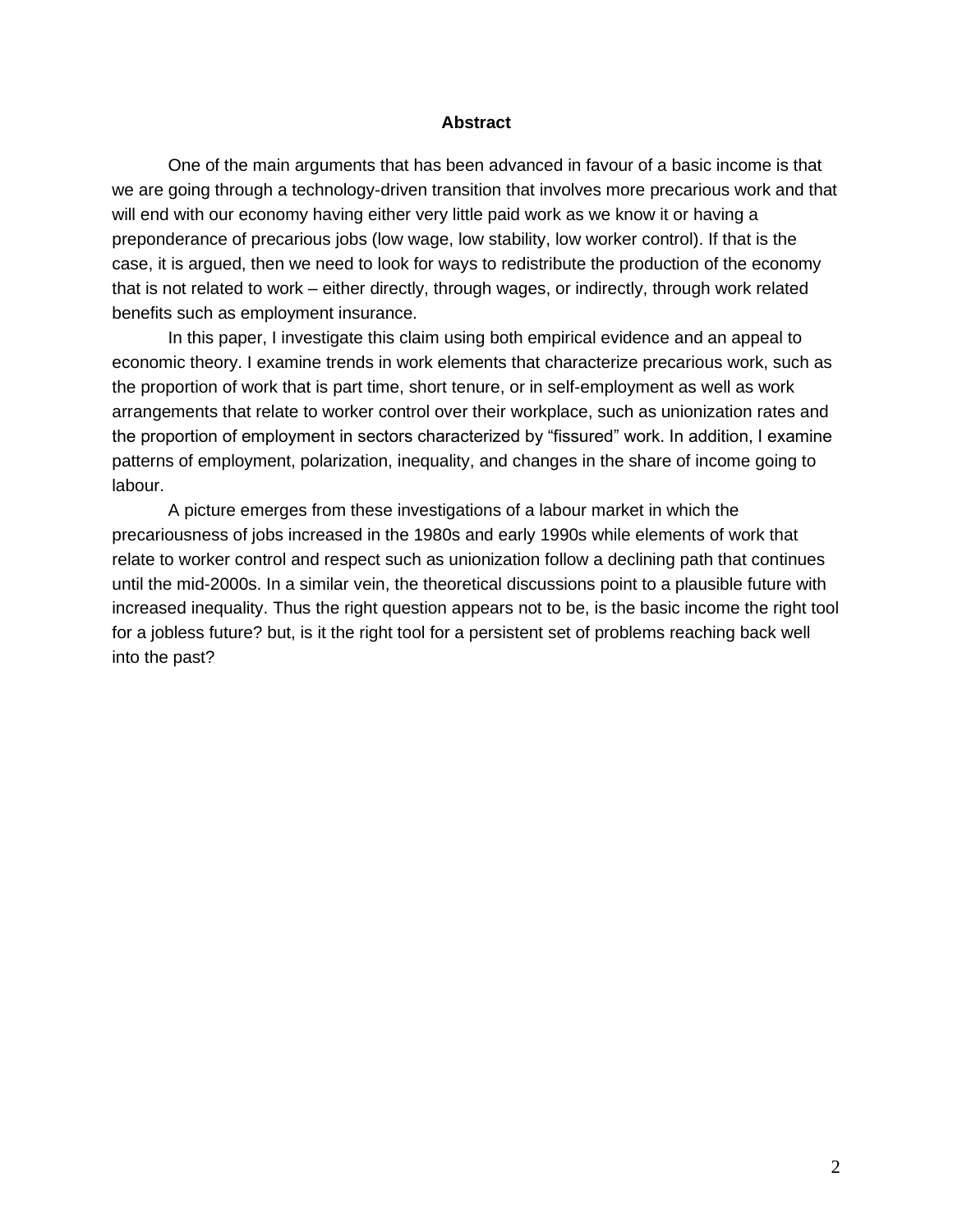#### **Abstract**

One of the main arguments that has been advanced in favour of a basic income is that we are going through a technology-driven transition that involves more precarious work and that will end with our economy having either very little paid work as we know it or having a preponderance of precarious jobs (low wage, low stability, low worker control). If that is the case, it is argued, then we need to look for ways to redistribute the production of the economy that is not related to work – either directly, through wages, or indirectly, through work related benefits such as employment insurance.

In this paper, I investigate this claim using both empirical evidence and an appeal to economic theory. I examine trends in work elements that characterize precarious work, such as the proportion of work that is part time, short tenure, or in self-employment as well as work arrangements that relate to worker control over their workplace, such as unionization rates and the proportion of employment in sectors characterized by "fissured" work. In addition, I examine patterns of employment, polarization, inequality, and changes in the share of income going to labour.

A picture emerges from these investigations of a labour market in which the precariousness of jobs increased in the 1980s and early 1990s while elements of work that relate to worker control and respect such as unionization follow a declining path that continues until the mid-2000s. In a similar vein, the theoretical discussions point to a plausible future with increased inequality. Thus the right question appears not to be, is the basic income the right tool for a jobless future? but, is it the right tool for a persistent set of problems reaching back well into the past?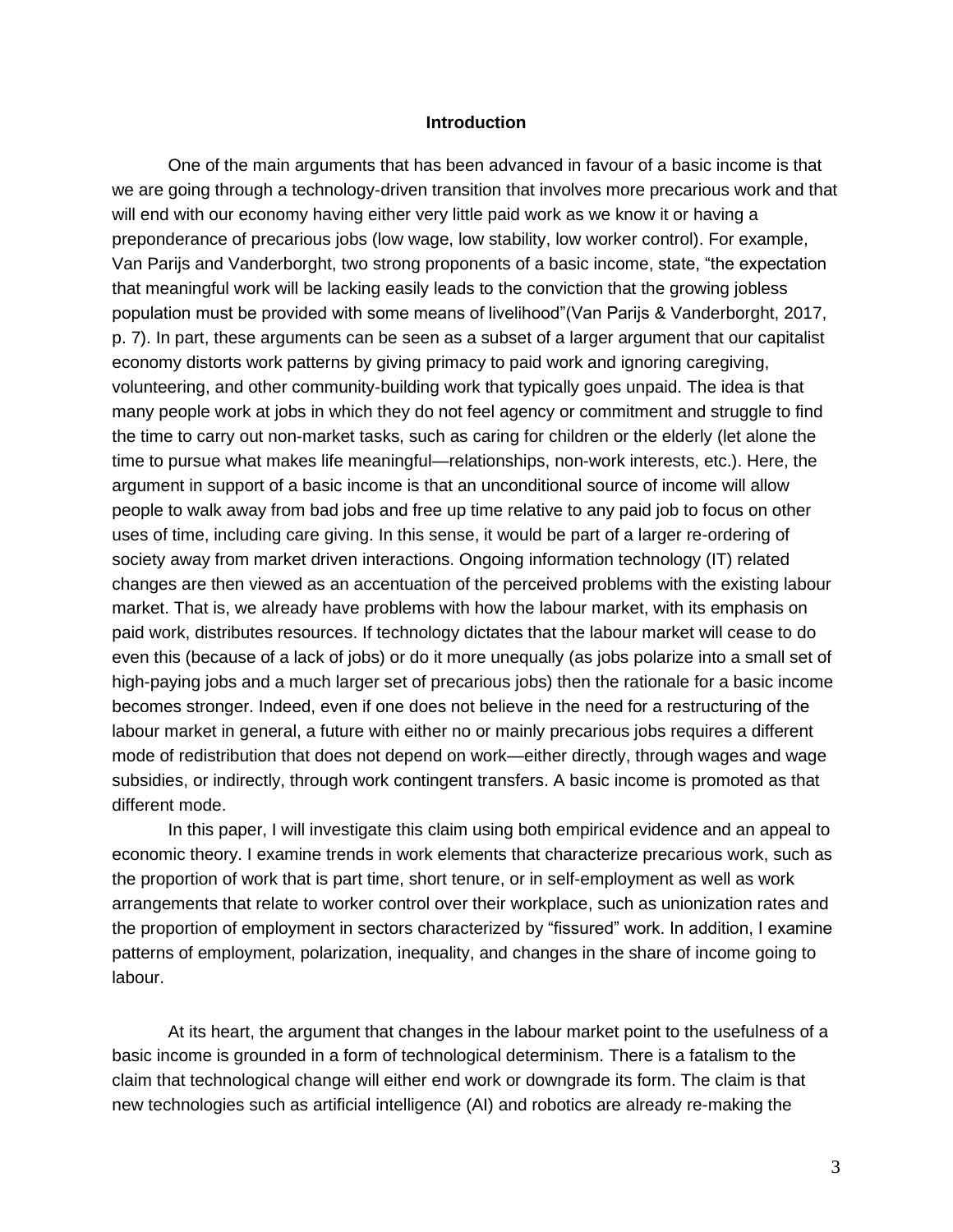#### **Introduction**

One of the main arguments that has been advanced in favour of a basic income is that we are going through a technology-driven transition that involves more precarious work and that will end with our economy having either very little paid work as we know it or having a preponderance of precarious jobs (low wage, low stability, low worker control). For example, Van Parijs and Vanderborght, two strong proponents of a basic income, state, "the expectation that meaningful work will be lacking easily leads to the conviction that the growing jobless population must be provided with some means of livelihood"(Van Parijs & Vanderborght, 2017, p. 7). In part, these arguments can be seen as a subset of a larger argument that our capitalist economy distorts work patterns by giving primacy to paid work and ignoring caregiving, volunteering, and other community-building work that typically goes unpaid. The idea is that many people work at jobs in which they do not feel agency or commitment and struggle to find the time to carry out non-market tasks, such as caring for children or the elderly (let alone the time to pursue what makes life meaningful—relationships, non-work interests, etc.). Here, the argument in support of a basic income is that an unconditional source of income will allow people to walk away from bad jobs and free up time relative to any paid job to focus on other uses of time, including care giving. In this sense, it would be part of a larger re-ordering of society away from market driven interactions. Ongoing information technology (IT) related changes are then viewed as an accentuation of the perceived problems with the existing labour market. That is, we already have problems with how the labour market, with its emphasis on paid work, distributes resources. If technology dictates that the labour market will cease to do even this (because of a lack of jobs) or do it more unequally (as jobs polarize into a small set of high-paying jobs and a much larger set of precarious jobs) then the rationale for a basic income becomes stronger. Indeed, even if one does not believe in the need for a restructuring of the labour market in general, a future with either no or mainly precarious jobs requires a different mode of redistribution that does not depend on work—either directly, through wages and wage subsidies, or indirectly, through work contingent transfers. A basic income is promoted as that different mode.

In this paper, I will investigate this claim using both empirical evidence and an appeal to economic theory. I examine trends in work elements that characterize precarious work, such as the proportion of work that is part time, short tenure, or in self-employment as well as work arrangements that relate to worker control over their workplace, such as unionization rates and the proportion of employment in sectors characterized by "fissured" work. In addition, I examine patterns of employment, polarization, inequality, and changes in the share of income going to labour.

At its heart, the argument that changes in the labour market point to the usefulness of a basic income is grounded in a form of technological determinism. There is a fatalism to the claim that technological change will either end work or downgrade its form. The claim is that new technologies such as artificial intelligence (AI) and robotics are already re-making the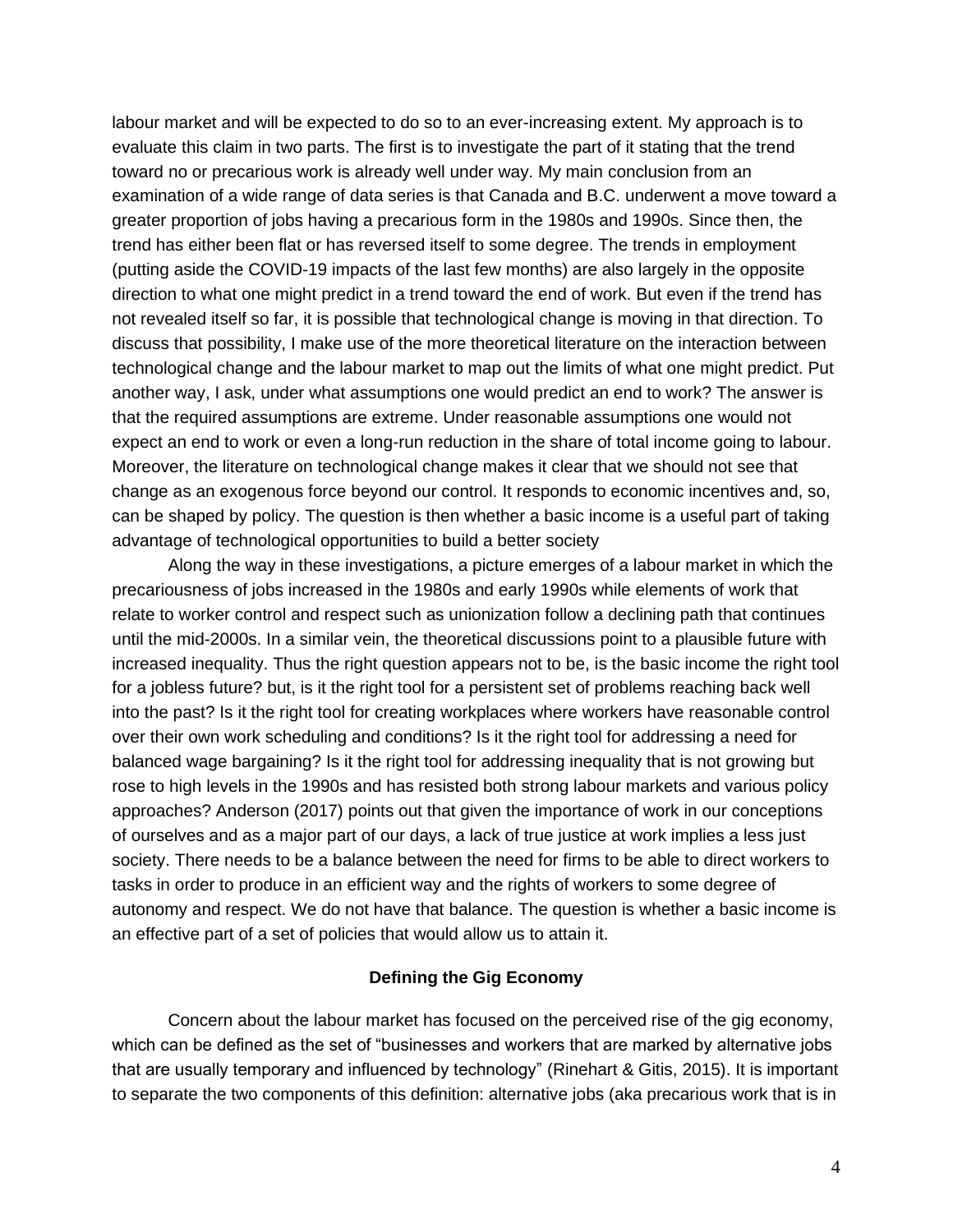labour market and will be expected to do so to an ever-increasing extent. My approach is to evaluate this claim in two parts. The first is to investigate the part of it stating that the trend toward no or precarious work is already well under way. My main conclusion from an examination of a wide range of data series is that Canada and B.C. underwent a move toward a greater proportion of jobs having a precarious form in the 1980s and 1990s. Since then, the trend has either been flat or has reversed itself to some degree. The trends in employment (putting aside the COVID-19 impacts of the last few months) are also largely in the opposite direction to what one might predict in a trend toward the end of work. But even if the trend has not revealed itself so far, it is possible that technological change is moving in that direction. To discuss that possibility, I make use of the more theoretical literature on the interaction between technological change and the labour market to map out the limits of what one might predict. Put another way, I ask, under what assumptions one would predict an end to work? The answer is that the required assumptions are extreme. Under reasonable assumptions one would not expect an end to work or even a long-run reduction in the share of total income going to labour. Moreover, the literature on technological change makes it clear that we should not see that change as an exogenous force beyond our control. It responds to economic incentives and, so, can be shaped by policy. The question is then whether a basic income is a useful part of taking advantage of technological opportunities to build a better society

Along the way in these investigations, a picture emerges of a labour market in which the precariousness of jobs increased in the 1980s and early 1990s while elements of work that relate to worker control and respect such as unionization follow a declining path that continues until the mid-2000s. In a similar vein, the theoretical discussions point to a plausible future with increased inequality. Thus the right question appears not to be, is the basic income the right tool for a jobless future? but, is it the right tool for a persistent set of problems reaching back well into the past? Is it the right tool for creating workplaces where workers have reasonable control over their own work scheduling and conditions? Is it the right tool for addressing a need for balanced wage bargaining? Is it the right tool for addressing inequality that is not growing but rose to high levels in the 1990s and has resisted both strong labour markets and various policy approaches? Anderson (2017) points out that given the importance of work in our conceptions of ourselves and as a major part of our days, a lack of true justice at work implies a less just society. There needs to be a balance between the need for firms to be able to direct workers to tasks in order to produce in an efficient way and the rights of workers to some degree of autonomy and respect. We do not have that balance. The question is whether a basic income is an effective part of a set of policies that would allow us to attain it.

#### **Defining the Gig Economy**

Concern about the labour market has focused on the perceived rise of the gig economy, which can be defined as the set of "businesses and workers that are marked by alternative jobs that are usually temporary and influenced by technology" (Rinehart & Gitis, 2015). It is important to separate the two components of this definition: alternative jobs (aka precarious work that is in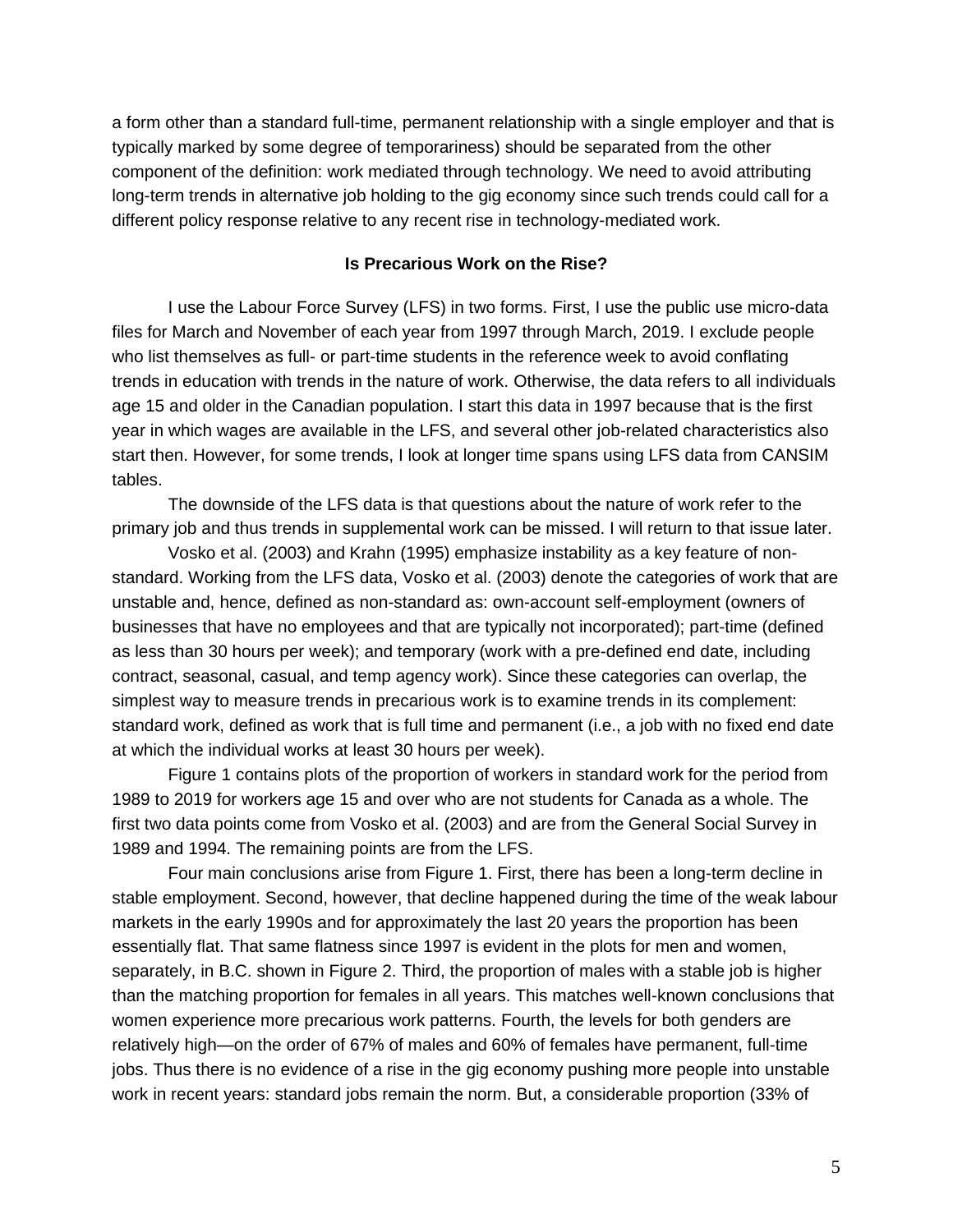a form other than a standard full-time, permanent relationship with a single employer and that is typically marked by some degree of temporariness) should be separated from the other component of the definition: work mediated through technology. We need to avoid attributing long-term trends in alternative job holding to the gig economy since such trends could call for a different policy response relative to any recent rise in technology-mediated work.

### **Is Precarious Work on the Rise?**

I use the Labour Force Survey (LFS) in two forms. First, I use the public use micro-data files for March and November of each year from 1997 through March, 2019. I exclude people who list themselves as full- or part-time students in the reference week to avoid conflating trends in education with trends in the nature of work. Otherwise, the data refers to all individuals age 15 and older in the Canadian population. I start this data in 1997 because that is the first year in which wages are available in the LFS, and several other job-related characteristics also start then. However, for some trends, I look at longer time spans using LFS data from CANSIM tables.

The downside of the LFS data is that questions about the nature of work refer to the primary job and thus trends in supplemental work can be missed. I will return to that issue later.

Vosko et al. (2003) and Krahn (1995) emphasize instability as a key feature of nonstandard. Working from the LFS data, Vosko et al. (2003) denote the categories of work that are unstable and, hence, defined as non-standard as: own-account self-employment (owners of businesses that have no employees and that are typically not incorporated); part-time (defined as less than 30 hours per week); and temporary (work with a pre-defined end date, including contract, seasonal, casual, and temp agency work). Since these categories can overlap, the simplest way to measure trends in precarious work is to examine trends in its complement: standard work, defined as work that is full time and permanent (i.e., a job with no fixed end date at which the individual works at least 30 hours per week).

Figure 1 contains plots of the proportion of workers in standard work for the period from 1989 to 2019 for workers age 15 and over who are not students for Canada as a whole. The first two data points come from Vosko et al. (2003) and are from the General Social Survey in 1989 and 1994. The remaining points are from the LFS.

Four main conclusions arise from Figure 1. First, there has been a long-term decline in stable employment. Second, however, that decline happened during the time of the weak labour markets in the early 1990s and for approximately the last 20 years the proportion has been essentially flat. That same flatness since 1997 is evident in the plots for men and women, separately, in B.C. shown in Figure 2. Third, the proportion of males with a stable job is higher than the matching proportion for females in all years. This matches well-known conclusions that women experience more precarious work patterns. Fourth, the levels for both genders are relatively high—on the order of 67% of males and 60% of females have permanent, full-time jobs. Thus there is no evidence of a rise in the gig economy pushing more people into unstable work in recent years: standard jobs remain the norm. But, a considerable proportion (33% of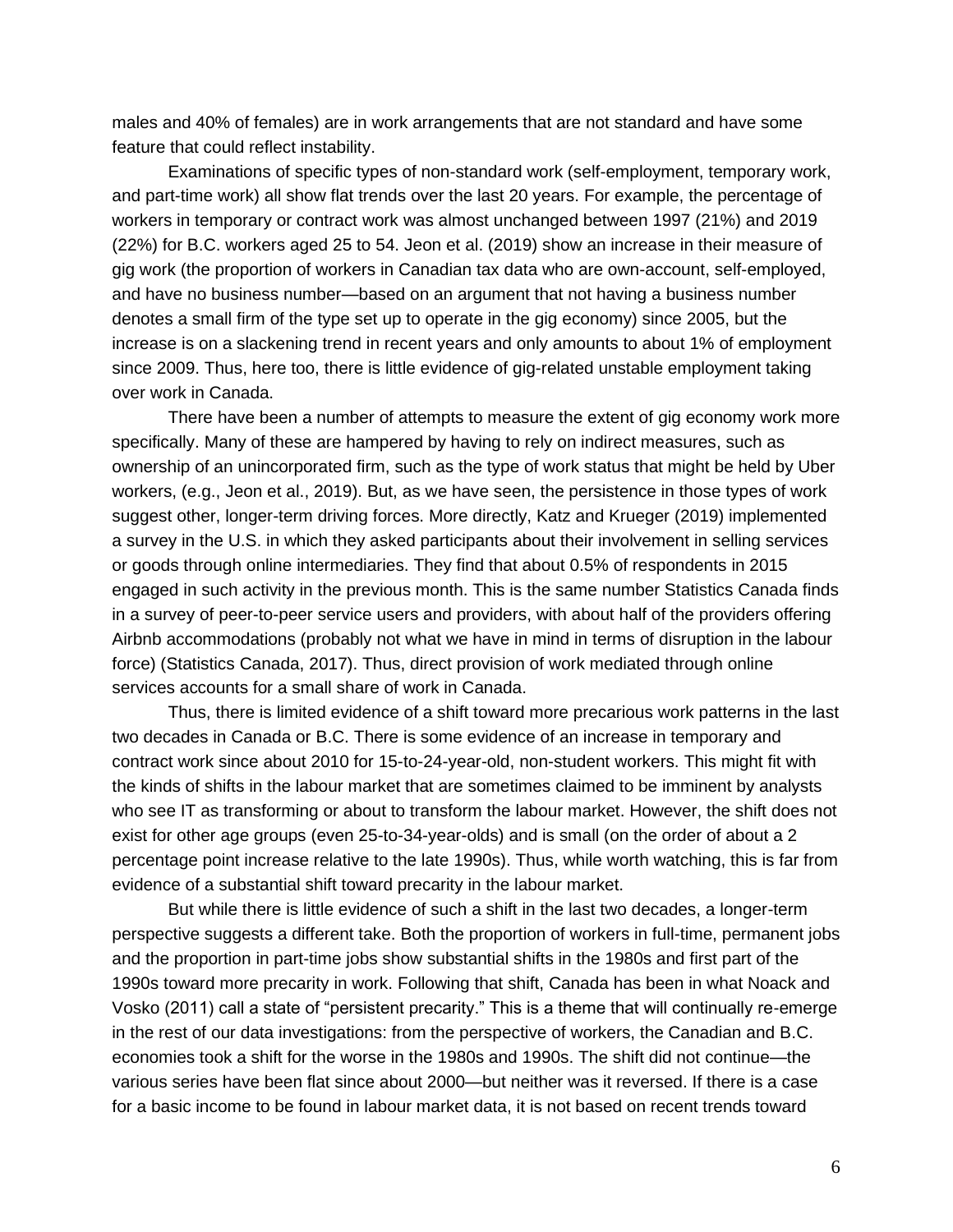males and 40% of females) are in work arrangements that are not standard and have some feature that could reflect instability.

Examinations of specific types of non-standard work (self-employment, temporary work, and part-time work) all show flat trends over the last 20 years. For example, the percentage of workers in temporary or contract work was almost unchanged between 1997 (21%) and 2019 (22%) for B.C. workers aged 25 to 54. Jeon et al. (2019) show an increase in their measure of gig work (the proportion of workers in Canadian tax data who are own-account, self-employed, and have no business number—based on an argument that not having a business number denotes a small firm of the type set up to operate in the gig economy) since 2005, but the increase is on a slackening trend in recent years and only amounts to about 1% of employment since 2009. Thus, here too, there is little evidence of gig-related unstable employment taking over work in Canada.

There have been a number of attempts to measure the extent of gig economy work more specifically. Many of these are hampered by having to rely on indirect measures, such as ownership of an unincorporated firm, such as the type of work status that might be held by Uber workers, (e.g., Jeon et al., 2019). But, as we have seen, the persistence in those types of work suggest other, longer-term driving forces. More directly, Katz and Krueger (2019) implemented a survey in the U.S. in which they asked participants about their involvement in selling services or goods through online intermediaries. They find that about 0.5% of respondents in 2015 engaged in such activity in the previous month. This is the same number Statistics Canada finds in a survey of peer-to-peer service users and providers, with about half of the providers offering Airbnb accommodations (probably not what we have in mind in terms of disruption in the labour force) (Statistics Canada, 2017). Thus, direct provision of work mediated through online services accounts for a small share of work in Canada.

Thus, there is limited evidence of a shift toward more precarious work patterns in the last two decades in Canada or B.C. There is some evidence of an increase in temporary and contract work since about 2010 for 15-to-24-year-old, non-student workers. This might fit with the kinds of shifts in the labour market that are sometimes claimed to be imminent by analysts who see IT as transforming or about to transform the labour market. However, the shift does not exist for other age groups (even 25-to-34-year-olds) and is small (on the order of about a 2 percentage point increase relative to the late 1990s). Thus, while worth watching, this is far from evidence of a substantial shift toward precarity in the labour market.

But while there is little evidence of such a shift in the last two decades, a longer-term perspective suggests a different take. Both the proportion of workers in full-time, permanent jobs and the proportion in part-time jobs show substantial shifts in the 1980s and first part of the 1990s toward more precarity in work. Following that shift, Canada has been in what Noack and Vosko (2011) call a state of "persistent precarity." This is a theme that will continually re-emerge in the rest of our data investigations: from the perspective of workers, the Canadian and B.C. economies took a shift for the worse in the 1980s and 1990s. The shift did not continue—the various series have been flat since about 2000—but neither was it reversed. If there is a case for a basic income to be found in labour market data, it is not based on recent trends toward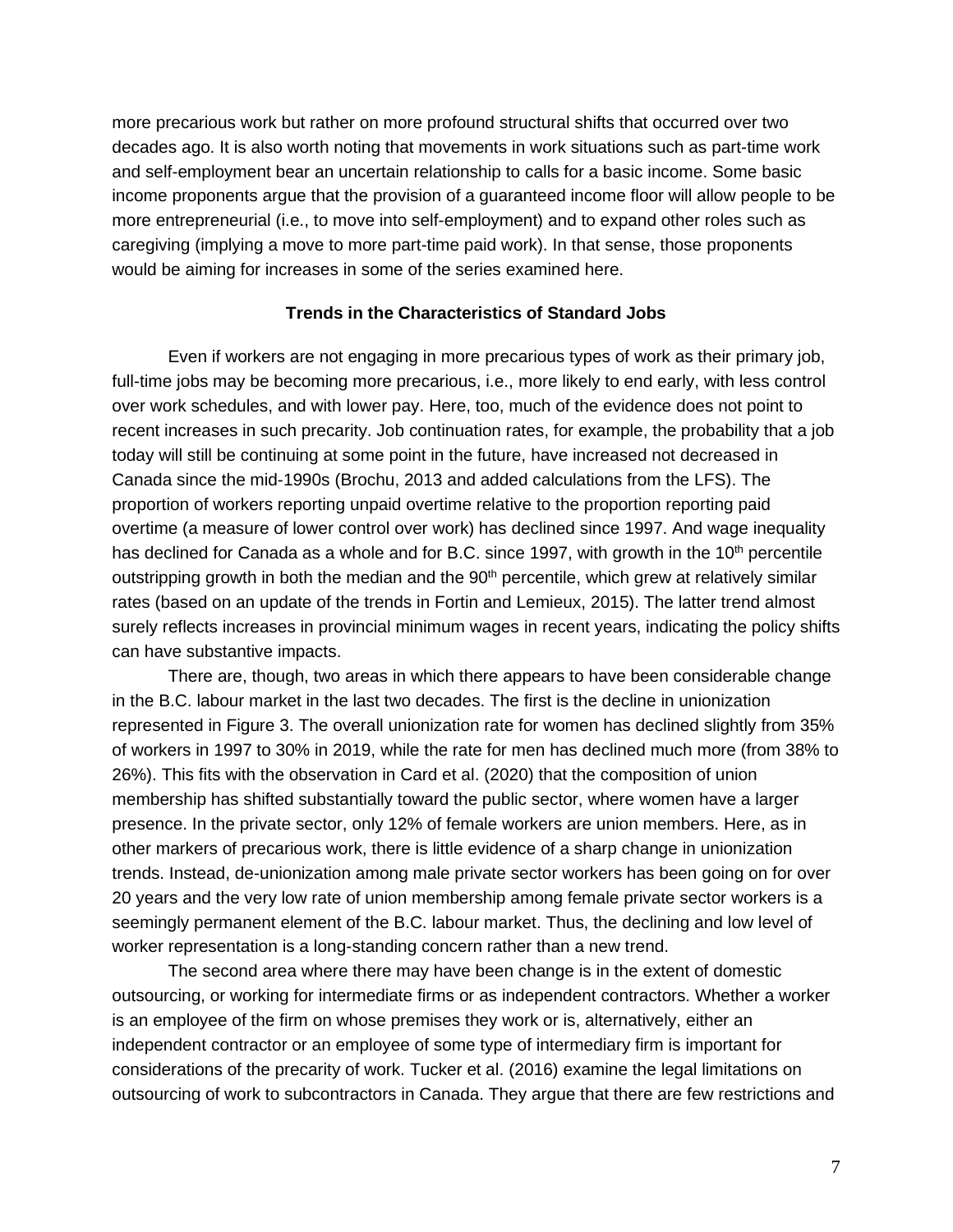more precarious work but rather on more profound structural shifts that occurred over two decades ago. It is also worth noting that movements in work situations such as part-time work and self-employment bear an uncertain relationship to calls for a basic income. Some basic income proponents argue that the provision of a guaranteed income floor will allow people to be more entrepreneurial (i.e., to move into self-employment) and to expand other roles such as caregiving (implying a move to more part-time paid work). In that sense, those proponents would be aiming for increases in some of the series examined here.

#### **Trends in the Characteristics of Standard Jobs**

Even if workers are not engaging in more precarious types of work as their primary job, full-time jobs may be becoming more precarious, i.e., more likely to end early, with less control over work schedules, and with lower pay. Here, too, much of the evidence does not point to recent increases in such precarity. Job continuation rates, for example, the probability that a job today will still be continuing at some point in the future, have increased not decreased in Canada since the mid-1990s (Brochu, 2013 and added calculations from the LFS). The proportion of workers reporting unpaid overtime relative to the proportion reporting paid overtime (a measure of lower control over work) has declined since 1997. And wage inequality has declined for Canada as a whole and for B.C. since 1997, with growth in the 10<sup>th</sup> percentile outstripping growth in both the median and the  $90<sup>th</sup>$  percentile, which grew at relatively similar rates (based on an update of the trends in Fortin and Lemieux, 2015). The latter trend almost surely reflects increases in provincial minimum wages in recent years, indicating the policy shifts can have substantive impacts.

There are, though, two areas in which there appears to have been considerable change in the B.C. labour market in the last two decades. The first is the decline in unionization represented in Figure 3. The overall unionization rate for women has declined slightly from 35% of workers in 1997 to 30% in 2019, while the rate for men has declined much more (from 38% to 26%). This fits with the observation in Card et al. (2020) that the composition of union membership has shifted substantially toward the public sector, where women have a larger presence. In the private sector, only 12% of female workers are union members. Here, as in other markers of precarious work, there is little evidence of a sharp change in unionization trends. Instead, de-unionization among male private sector workers has been going on for over 20 years and the very low rate of union membership among female private sector workers is a seemingly permanent element of the B.C. labour market. Thus, the declining and low level of worker representation is a long-standing concern rather than a new trend.

The second area where there may have been change is in the extent of domestic outsourcing, or working for intermediate firms or as independent contractors. Whether a worker is an employee of the firm on whose premises they work or is, alternatively, either an independent contractor or an employee of some type of intermediary firm is important for considerations of the precarity of work. Tucker et al. (2016) examine the legal limitations on outsourcing of work to subcontractors in Canada. They argue that there are few restrictions and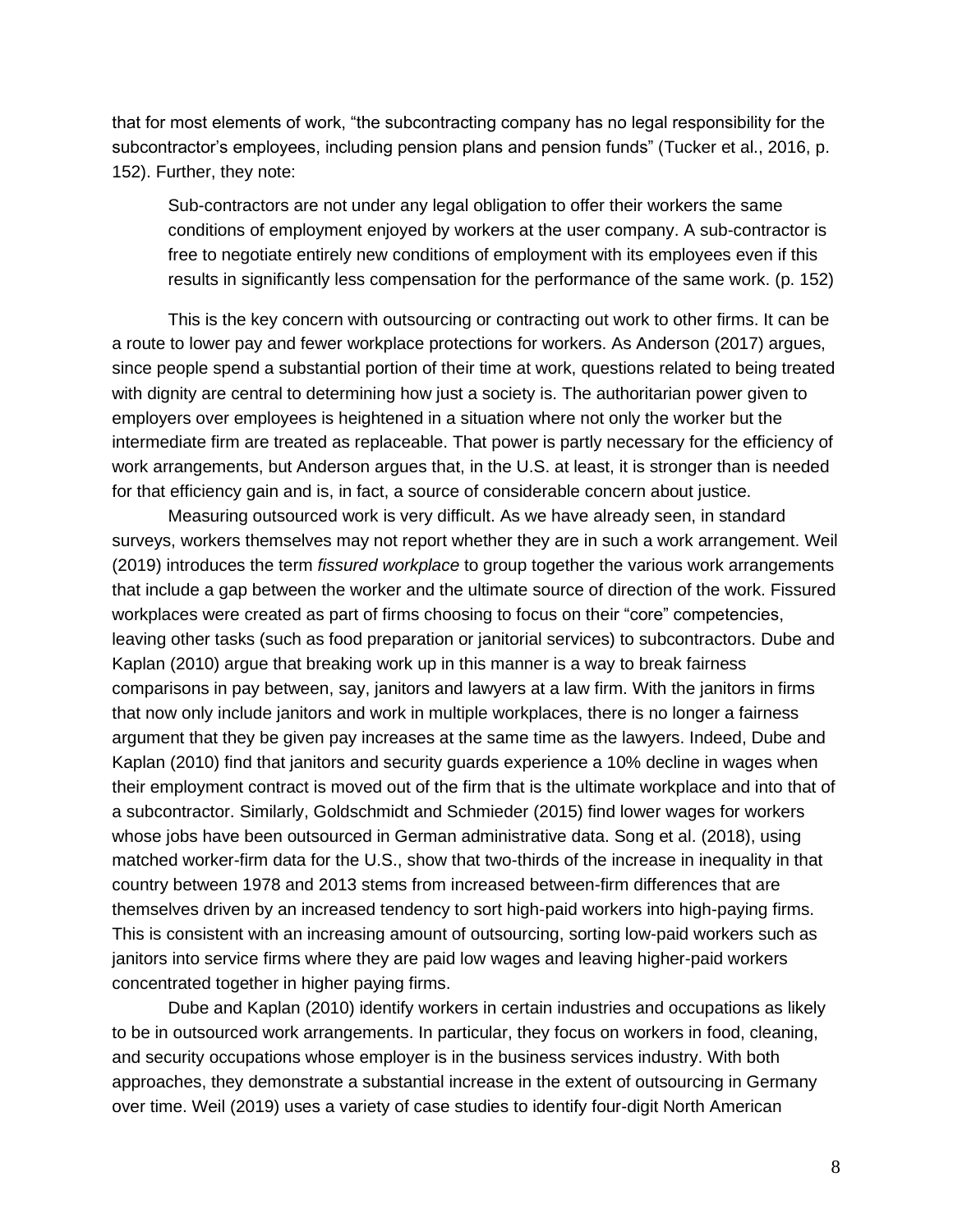that for most elements of work, "the subcontracting company has no legal responsibility for the subcontractor's employees, including pension plans and pension funds" (Tucker et al., 2016, p. 152). Further, they note:

Sub-contractors are not under any legal obligation to offer their workers the same conditions of employment enjoyed by workers at the user company. A sub-contractor is free to negotiate entirely new conditions of employment with its employees even if this results in significantly less compensation for the performance of the same work. (p. 152)

This is the key concern with outsourcing or contracting out work to other firms. It can be a route to lower pay and fewer workplace protections for workers. As Anderson (2017) argues, since people spend a substantial portion of their time at work, questions related to being treated with dignity are central to determining how just a society is. The authoritarian power given to employers over employees is heightened in a situation where not only the worker but the intermediate firm are treated as replaceable. That power is partly necessary for the efficiency of work arrangements, but Anderson argues that, in the U.S. at least, it is stronger than is needed for that efficiency gain and is, in fact, a source of considerable concern about justice.

Measuring outsourced work is very difficult. As we have already seen, in standard surveys, workers themselves may not report whether they are in such a work arrangement. Weil (2019) introduces the term *fissured workplace* to group together the various work arrangements that include a gap between the worker and the ultimate source of direction of the work. Fissured workplaces were created as part of firms choosing to focus on their "core" competencies, leaving other tasks (such as food preparation or janitorial services) to subcontractors. Dube and Kaplan (2010) argue that breaking work up in this manner is a way to break fairness comparisons in pay between, say, janitors and lawyers at a law firm. With the janitors in firms that now only include janitors and work in multiple workplaces, there is no longer a fairness argument that they be given pay increases at the same time as the lawyers. Indeed, Dube and Kaplan (2010) find that janitors and security guards experience a 10% decline in wages when their employment contract is moved out of the firm that is the ultimate workplace and into that of a subcontractor. Similarly, Goldschmidt and Schmieder (2015) find lower wages for workers whose jobs have been outsourced in German administrative data. Song et al. (2018), using matched worker-firm data for the U.S., show that two-thirds of the increase in inequality in that country between 1978 and 2013 stems from increased between-firm differences that are themselves driven by an increased tendency to sort high-paid workers into high-paying firms. This is consistent with an increasing amount of outsourcing, sorting low-paid workers such as janitors into service firms where they are paid low wages and leaving higher-paid workers concentrated together in higher paying firms.

Dube and Kaplan (2010) identify workers in certain industries and occupations as likely to be in outsourced work arrangements. In particular, they focus on workers in food, cleaning, and security occupations whose employer is in the business services industry. With both approaches, they demonstrate a substantial increase in the extent of outsourcing in Germany over time. Weil (2019) uses a variety of case studies to identify four-digit North American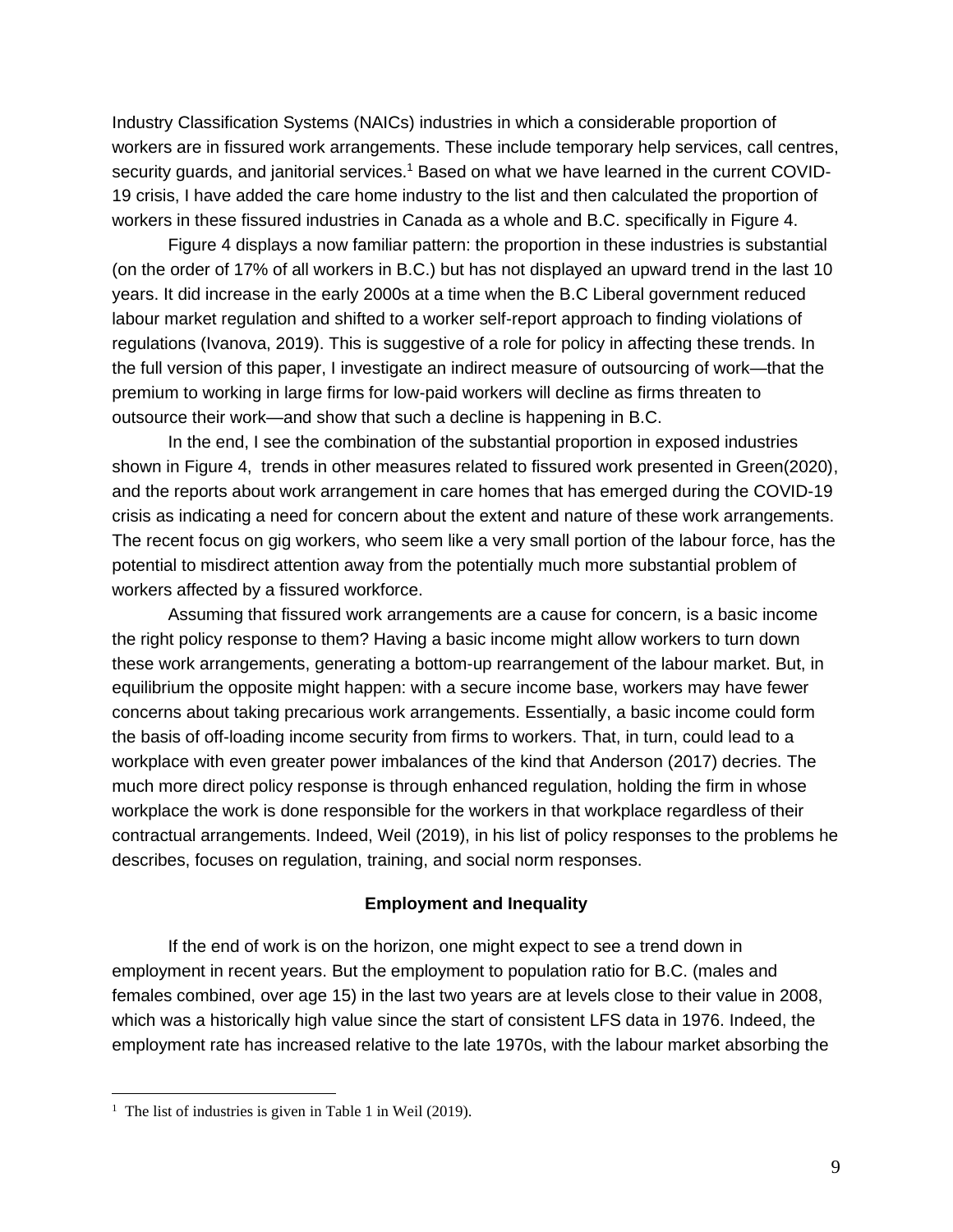Industry Classification Systems (NAICs) industries in which a considerable proportion of workers are in fissured work arrangements. These include temporary help services, call centres, security guards, and janitorial services.<sup>1</sup> Based on what we have learned in the current COVID-19 crisis, I have added the care home industry to the list and then calculated the proportion of workers in these fissured industries in Canada as a whole and B.C. specifically in Figure 4.

Figure 4 displays a now familiar pattern: the proportion in these industries is substantial (on the order of 17% of all workers in B.C.) but has not displayed an upward trend in the last 10 years. It did increase in the early 2000s at a time when the B.C Liberal government reduced labour market regulation and shifted to a worker self-report approach to finding violations of regulations (Ivanova, 2019). This is suggestive of a role for policy in affecting these trends. In the full version of this paper, I investigate an indirect measure of outsourcing of work—that the premium to working in large firms for low-paid workers will decline as firms threaten to outsource their work—and show that such a decline is happening in B.C.

In the end, I see the combination of the substantial proportion in exposed industries shown in Figure 4, trends in other measures related to fissured work presented in Green(2020), and the reports about work arrangement in care homes that has emerged during the COVID-19 crisis as indicating a need for concern about the extent and nature of these work arrangements. The recent focus on gig workers, who seem like a very small portion of the labour force, has the potential to misdirect attention away from the potentially much more substantial problem of workers affected by a fissured workforce.

Assuming that fissured work arrangements are a cause for concern, is a basic income the right policy response to them? Having a basic income might allow workers to turn down these work arrangements, generating a bottom-up rearrangement of the labour market. But, in equilibrium the opposite might happen: with a secure income base, workers may have fewer concerns about taking precarious work arrangements. Essentially, a basic income could form the basis of off-loading income security from firms to workers. That, in turn, could lead to a workplace with even greater power imbalances of the kind that Anderson (2017) decries. The much more direct policy response is through enhanced regulation, holding the firm in whose workplace the work is done responsible for the workers in that workplace regardless of their contractual arrangements. Indeed, Weil (2019), in his list of policy responses to the problems he describes, focuses on regulation, training, and social norm responses.

## **Employment and Inequality**

If the end of work is on the horizon, one might expect to see a trend down in employment in recent years. But the employment to population ratio for B.C. (males and females combined, over age 15) in the last two years are at levels close to their value in 2008, which was a historically high value since the start of consistent LFS data in 1976. Indeed, the employment rate has increased relative to the late 1970s, with the labour market absorbing the

<sup>&</sup>lt;sup>1</sup> The list of industries is given in Table 1 in Weil (2019).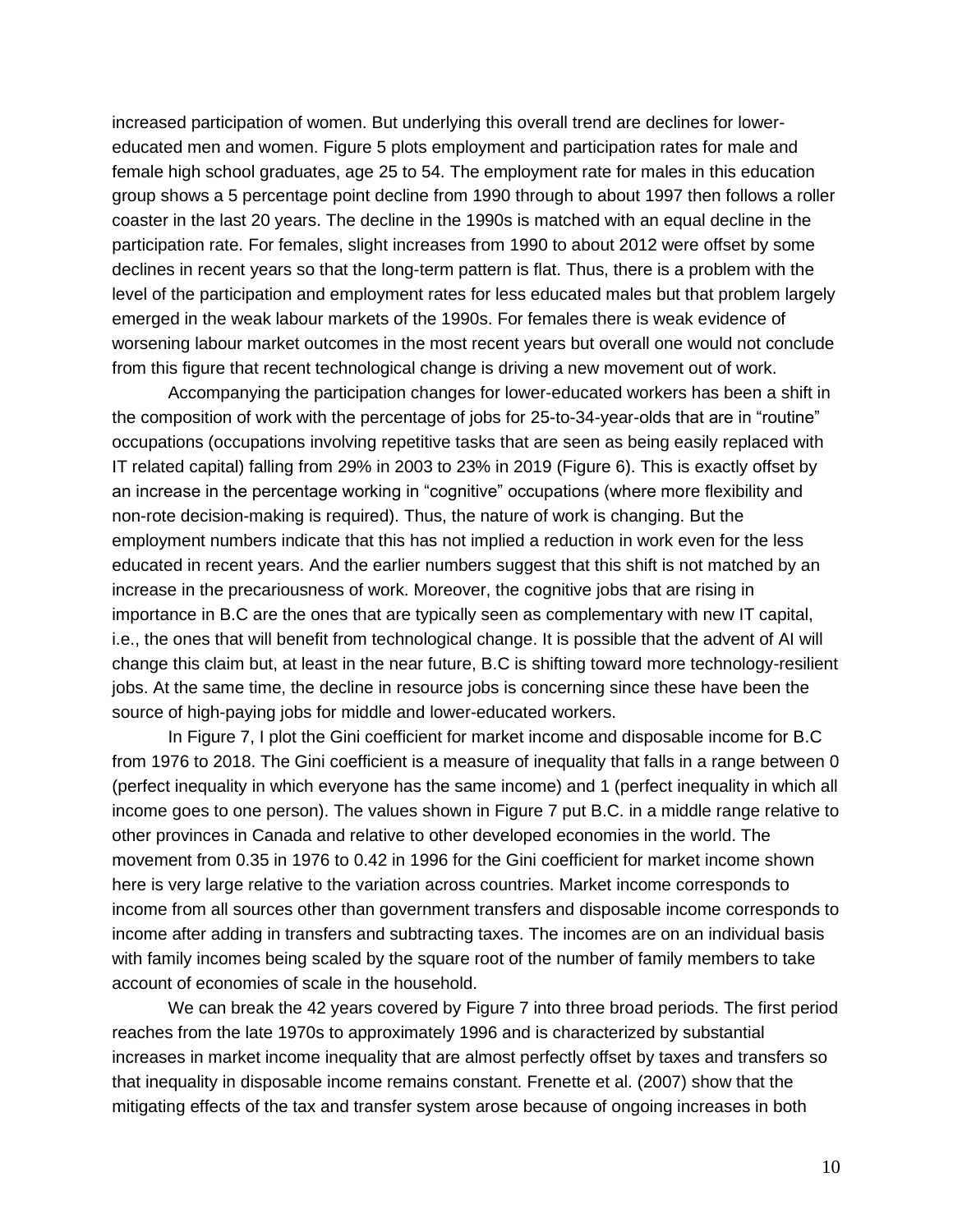increased participation of women. But underlying this overall trend are declines for lowereducated men and women. Figure 5 plots employment and participation rates for male and female high school graduates, age 25 to 54. The employment rate for males in this education group shows a 5 percentage point decline from 1990 through to about 1997 then follows a roller coaster in the last 20 years. The decline in the 1990s is matched with an equal decline in the participation rate. For females, slight increases from 1990 to about 2012 were offset by some declines in recent years so that the long-term pattern is flat. Thus, there is a problem with the level of the participation and employment rates for less educated males but that problem largely emerged in the weak labour markets of the 1990s. For females there is weak evidence of worsening labour market outcomes in the most recent years but overall one would not conclude from this figure that recent technological change is driving a new movement out of work.

Accompanying the participation changes for lower-educated workers has been a shift in the composition of work with the percentage of jobs for 25-to-34-year-olds that are in "routine" occupations (occupations involving repetitive tasks that are seen as being easily replaced with IT related capital) falling from 29% in 2003 to 23% in 2019 (Figure 6). This is exactly offset by an increase in the percentage working in "cognitive" occupations (where more flexibility and non-rote decision-making is required). Thus, the nature of work is changing. But the employment numbers indicate that this has not implied a reduction in work even for the less educated in recent years. And the earlier numbers suggest that this shift is not matched by an increase in the precariousness of work. Moreover, the cognitive jobs that are rising in importance in B.C are the ones that are typically seen as complementary with new IT capital, i.e., the ones that will benefit from technological change. It is possible that the advent of AI will change this claim but, at least in the near future, B.C is shifting toward more technology-resilient jobs. At the same time, the decline in resource jobs is concerning since these have been the source of high-paying jobs for middle and lower-educated workers.

In Figure 7, I plot the Gini coefficient for market income and disposable income for B.C from 1976 to 2018. The Gini coefficient is a measure of inequality that falls in a range between 0 (perfect inequality in which everyone has the same income) and 1 (perfect inequality in which all income goes to one person). The values shown in Figure 7 put B.C. in a middle range relative to other provinces in Canada and relative to other developed economies in the world. The movement from 0.35 in 1976 to 0.42 in 1996 for the Gini coefficient for market income shown here is very large relative to the variation across countries. Market income corresponds to income from all sources other than government transfers and disposable income corresponds to income after adding in transfers and subtracting taxes. The incomes are on an individual basis with family incomes being scaled by the square root of the number of family members to take account of economies of scale in the household.

We can break the 42 years covered by Figure 7 into three broad periods. The first period reaches from the late 1970s to approximately 1996 and is characterized by substantial increases in market income inequality that are almost perfectly offset by taxes and transfers so that inequality in disposable income remains constant. Frenette et al. (2007) show that the mitigating effects of the tax and transfer system arose because of ongoing increases in both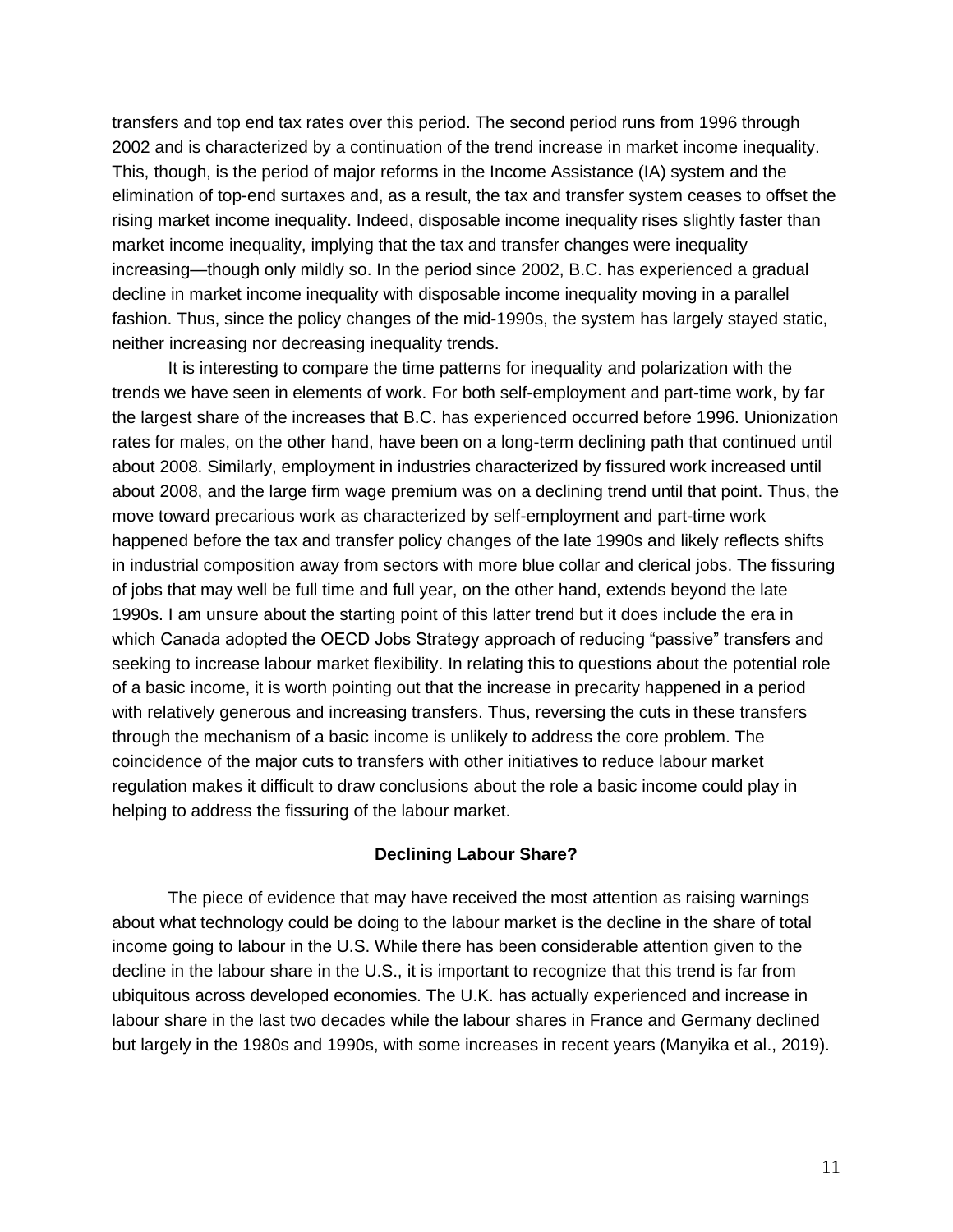transfers and top end tax rates over this period. The second period runs from 1996 through 2002 and is characterized by a continuation of the trend increase in market income inequality. This, though, is the period of major reforms in the Income Assistance (IA) system and the elimination of top-end surtaxes and, as a result, the tax and transfer system ceases to offset the rising market income inequality. Indeed, disposable income inequality rises slightly faster than market income inequality, implying that the tax and transfer changes were inequality increasing—though only mildly so. In the period since 2002, B.C. has experienced a gradual decline in market income inequality with disposable income inequality moving in a parallel fashion. Thus, since the policy changes of the mid-1990s, the system has largely stayed static, neither increasing nor decreasing inequality trends.

It is interesting to compare the time patterns for inequality and polarization with the trends we have seen in elements of work. For both self-employment and part-time work, by far the largest share of the increases that B.C. has experienced occurred before 1996. Unionization rates for males, on the other hand, have been on a long-term declining path that continued until about 2008. Similarly, employment in industries characterized by fissured work increased until about 2008, and the large firm wage premium was on a declining trend until that point. Thus, the move toward precarious work as characterized by self-employment and part-time work happened before the tax and transfer policy changes of the late 1990s and likely reflects shifts in industrial composition away from sectors with more blue collar and clerical jobs. The fissuring of jobs that may well be full time and full year, on the other hand, extends beyond the late 1990s. I am unsure about the starting point of this latter trend but it does include the era in which Canada adopted the OECD Jobs Strategy approach of reducing "passive" transfers and seeking to increase labour market flexibility. In relating this to questions about the potential role of a basic income, it is worth pointing out that the increase in precarity happened in a period with relatively generous and increasing transfers. Thus, reversing the cuts in these transfers through the mechanism of a basic income is unlikely to address the core problem. The coincidence of the major cuts to transfers with other initiatives to reduce labour market regulation makes it difficult to draw conclusions about the role a basic income could play in helping to address the fissuring of the labour market.

### **Declining Labour Share?**

The piece of evidence that may have received the most attention as raising warnings about what technology could be doing to the labour market is the decline in the share of total income going to labour in the U.S. While there has been considerable attention given to the decline in the labour share in the U.S., it is important to recognize that this trend is far from ubiquitous across developed economies. The U.K. has actually experienced and increase in labour share in the last two decades while the labour shares in France and Germany declined but largely in the 1980s and 1990s, with some increases in recent years (Manyika et al., 2019).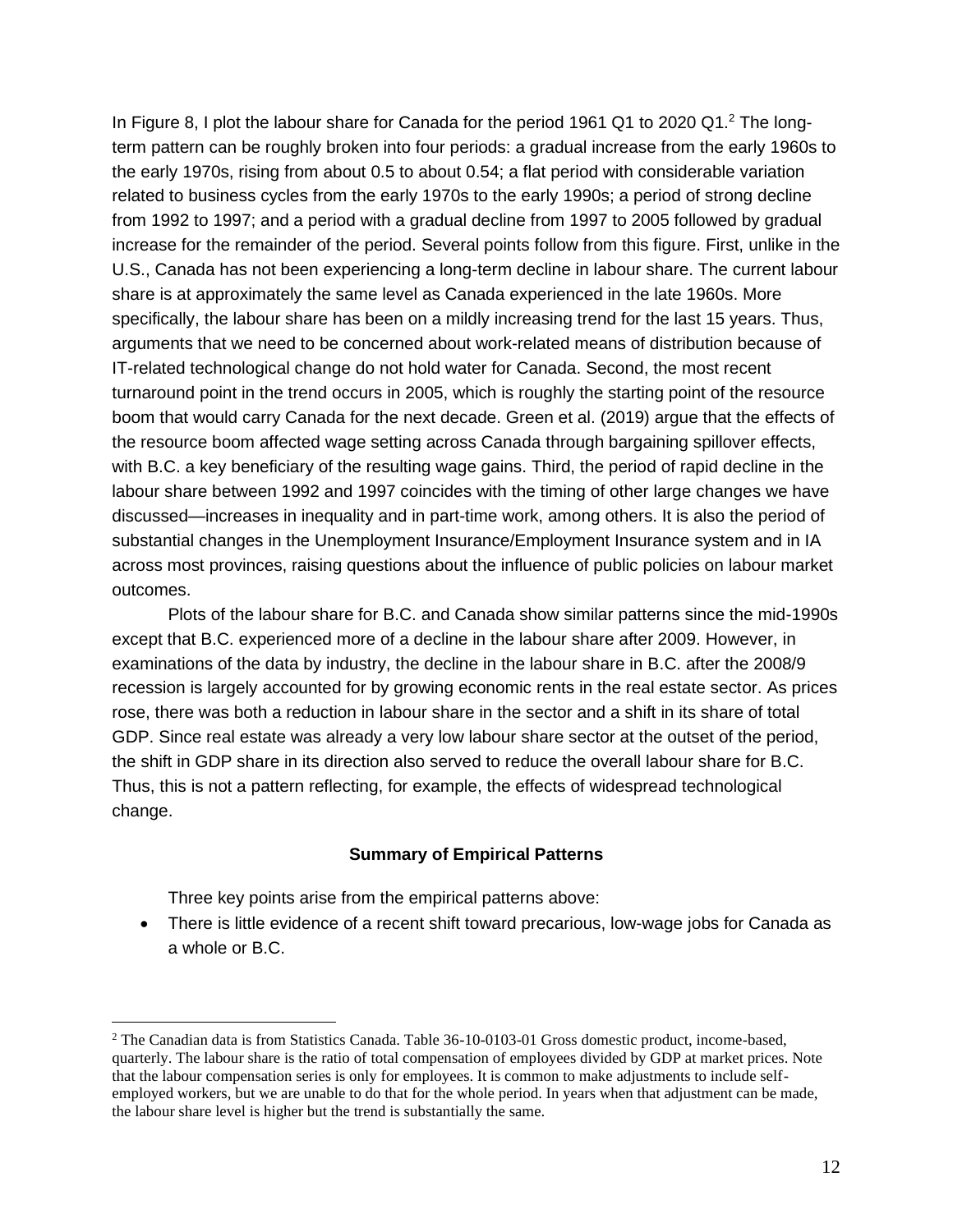In Figure 8, I plot the labour share for Canada for the period 1961 Q1 to 2020 Q1.<sup>2</sup> The longterm pattern can be roughly broken into four periods: a gradual increase from the early 1960s to the early 1970s, rising from about 0.5 to about 0.54; a flat period with considerable variation related to business cycles from the early 1970s to the early 1990s; a period of strong decline from 1992 to 1997; and a period with a gradual decline from 1997 to 2005 followed by gradual increase for the remainder of the period. Several points follow from this figure. First, unlike in the U.S., Canada has not been experiencing a long-term decline in labour share. The current labour share is at approximately the same level as Canada experienced in the late 1960s. More specifically, the labour share has been on a mildly increasing trend for the last 15 years. Thus, arguments that we need to be concerned about work-related means of distribution because of IT-related technological change do not hold water for Canada. Second, the most recent turnaround point in the trend occurs in 2005, which is roughly the starting point of the resource boom that would carry Canada for the next decade. Green et al. (2019) argue that the effects of the resource boom affected wage setting across Canada through bargaining spillover effects, with B.C. a key beneficiary of the resulting wage gains. Third, the period of rapid decline in the labour share between 1992 and 1997 coincides with the timing of other large changes we have discussed—increases in inequality and in part-time work, among others. It is also the period of substantial changes in the Unemployment Insurance/Employment Insurance system and in IA across most provinces, raising questions about the influence of public policies on labour market outcomes.

Plots of the labour share for B.C. and Canada show similar patterns since the mid-1990s except that B.C. experienced more of a decline in the labour share after 2009. However, in examinations of the data by industry, the decline in the labour share in B.C. after the 2008/9 recession is largely accounted for by growing economic rents in the real estate sector. As prices rose, there was both a reduction in labour share in the sector and a shift in its share of total GDP. Since real estate was already a very low labour share sector at the outset of the period, the shift in GDP share in its direction also served to reduce the overall labour share for B.C. Thus, this is not a pattern reflecting, for example, the effects of widespread technological change.

### **Summary of Empirical Patterns**

Three key points arise from the empirical patterns above:

• There is little evidence of a recent shift toward precarious, low-wage jobs for Canada as a whole or B.C.

<sup>2</sup> The Canadian data is from Statistics Canada. Table 36-10-0103-01 Gross domestic product, income-based, quarterly. The labour share is the ratio of total compensation of employees divided by GDP at market prices. Note that the labour compensation series is only for employees. It is common to make adjustments to include selfemployed workers, but we are unable to do that for the whole period. In years when that adjustment can be made, the labour share level is higher but the trend is substantially the same.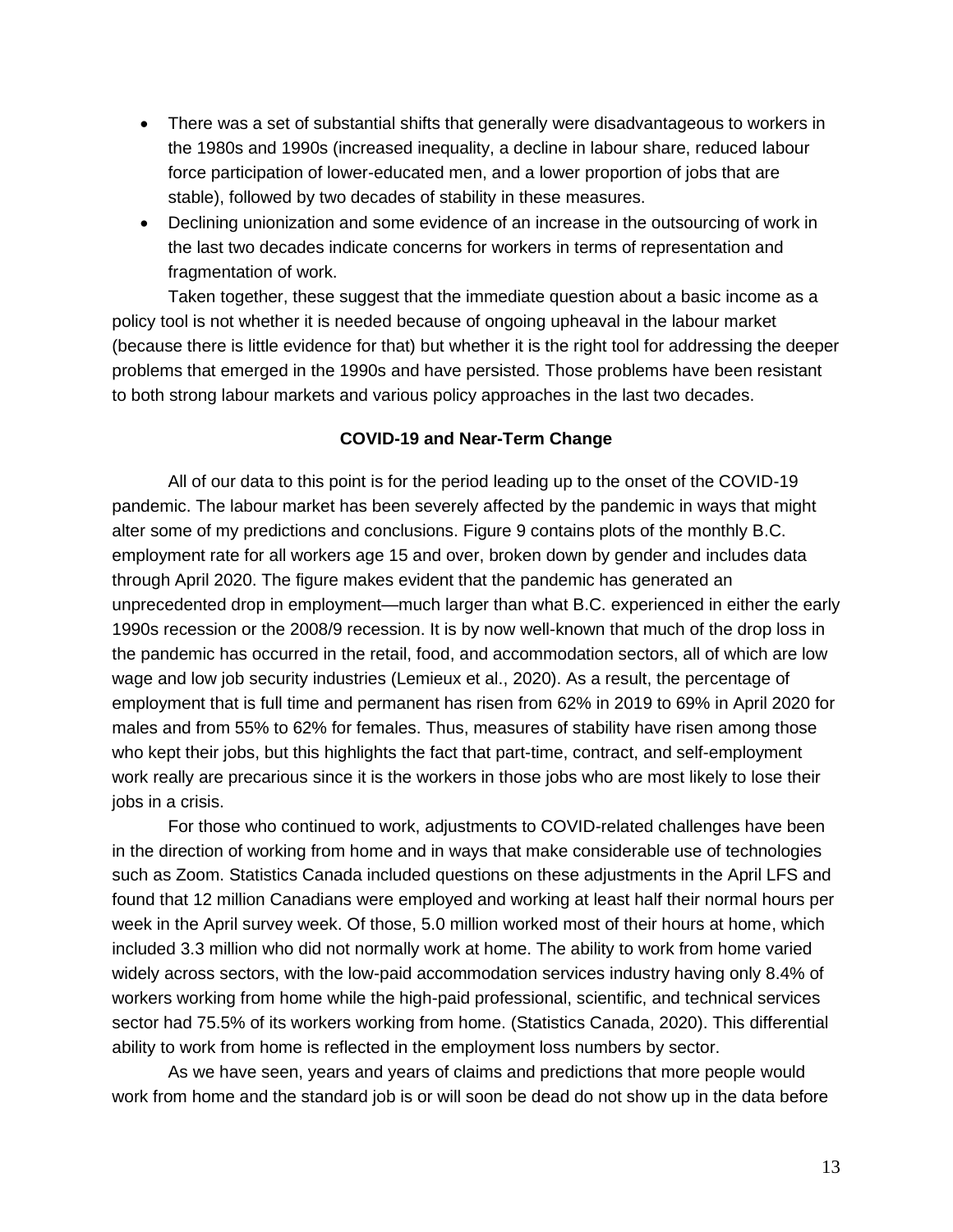- There was a set of substantial shifts that generally were disadvantageous to workers in the 1980s and 1990s (increased inequality, a decline in labour share, reduced labour force participation of lower-educated men, and a lower proportion of jobs that are stable), followed by two decades of stability in these measures.
- Declining unionization and some evidence of an increase in the outsourcing of work in the last two decades indicate concerns for workers in terms of representation and fragmentation of work.

Taken together, these suggest that the immediate question about a basic income as a policy tool is not whether it is needed because of ongoing upheaval in the labour market (because there is little evidence for that) but whether it is the right tool for addressing the deeper problems that emerged in the 1990s and have persisted. Those problems have been resistant to both strong labour markets and various policy approaches in the last two decades.

### **COVID-19 and Near-Term Change**

All of our data to this point is for the period leading up to the onset of the COVID-19 pandemic. The labour market has been severely affected by the pandemic in ways that might alter some of my predictions and conclusions. Figure 9 contains plots of the monthly B.C. employment rate for all workers age 15 and over, broken down by gender and includes data through April 2020. The figure makes evident that the pandemic has generated an unprecedented drop in employment—much larger than what B.C. experienced in either the early 1990s recession or the 2008/9 recession. It is by now well-known that much of the drop loss in the pandemic has occurred in the retail, food, and accommodation sectors, all of which are low wage and low job security industries (Lemieux et al., 2020). As a result, the percentage of employment that is full time and permanent has risen from 62% in 2019 to 69% in April 2020 for males and from 55% to 62% for females. Thus, measures of stability have risen among those who kept their jobs, but this highlights the fact that part-time, contract, and self-employment work really are precarious since it is the workers in those jobs who are most likely to lose their jobs in a crisis.

For those who continued to work, adjustments to COVID-related challenges have been in the direction of working from home and in ways that make considerable use of technologies such as Zoom. Statistics Canada included questions on these adjustments in the April LFS and found that 12 million Canadians were employed and working at least half their normal hours per week in the April survey week. Of those, 5.0 million worked most of their hours at home, which included 3.3 million who did not normally work at home. The ability to work from home varied widely across sectors, with the low-paid accommodation services industry having only 8.4% of workers working from home while the high-paid professional, scientific, and technical services sector had 75.5% of its workers working from home. (Statistics Canada, 2020). This differential ability to work from home is reflected in the employment loss numbers by sector.

As we have seen, years and years of claims and predictions that more people would work from home and the standard job is or will soon be dead do not show up in the data before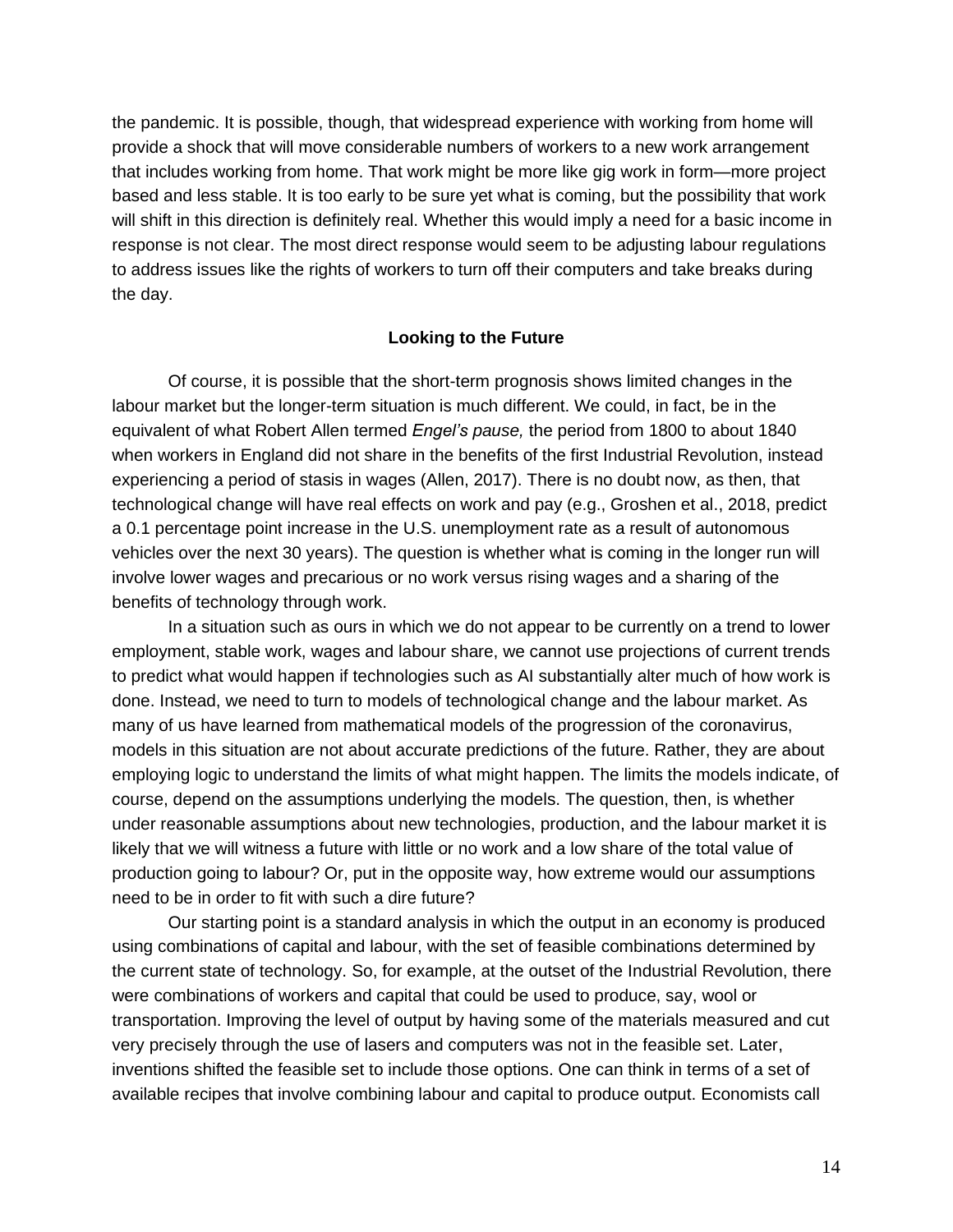the pandemic. It is possible, though, that widespread experience with working from home will provide a shock that will move considerable numbers of workers to a new work arrangement that includes working from home. That work might be more like gig work in form—more project based and less stable. It is too early to be sure yet what is coming, but the possibility that work will shift in this direction is definitely real. Whether this would imply a need for a basic income in response is not clear. The most direct response would seem to be adjusting labour regulations to address issues like the rights of workers to turn off their computers and take breaks during the day.

#### **Looking to the Future**

Of course, it is possible that the short-term prognosis shows limited changes in the labour market but the longer-term situation is much different. We could, in fact, be in the equivalent of what Robert Allen termed *Engel's pause,* the period from 1800 to about 1840 when workers in England did not share in the benefits of the first Industrial Revolution, instead experiencing a period of stasis in wages (Allen, 2017). There is no doubt now, as then, that technological change will have real effects on work and pay (e.g., Groshen et al., 2018, predict a 0.1 percentage point increase in the U.S. unemployment rate as a result of autonomous vehicles over the next 30 years). The question is whether what is coming in the longer run will involve lower wages and precarious or no work versus rising wages and a sharing of the benefits of technology through work.

In a situation such as ours in which we do not appear to be currently on a trend to lower employment, stable work, wages and labour share, we cannot use projections of current trends to predict what would happen if technologies such as AI substantially alter much of how work is done. Instead, we need to turn to models of technological change and the labour market. As many of us have learned from mathematical models of the progression of the coronavirus, models in this situation are not about accurate predictions of the future. Rather, they are about employing logic to understand the limits of what might happen. The limits the models indicate, of course, depend on the assumptions underlying the models. The question, then, is whether under reasonable assumptions about new technologies, production, and the labour market it is likely that we will witness a future with little or no work and a low share of the total value of production going to labour? Or, put in the opposite way, how extreme would our assumptions need to be in order to fit with such a dire future?

Our starting point is a standard analysis in which the output in an economy is produced using combinations of capital and labour, with the set of feasible combinations determined by the current state of technology. So, for example, at the outset of the Industrial Revolution, there were combinations of workers and capital that could be used to produce, say, wool or transportation. Improving the level of output by having some of the materials measured and cut very precisely through the use of lasers and computers was not in the feasible set. Later, inventions shifted the feasible set to include those options. One can think in terms of a set of available recipes that involve combining labour and capital to produce output. Economists call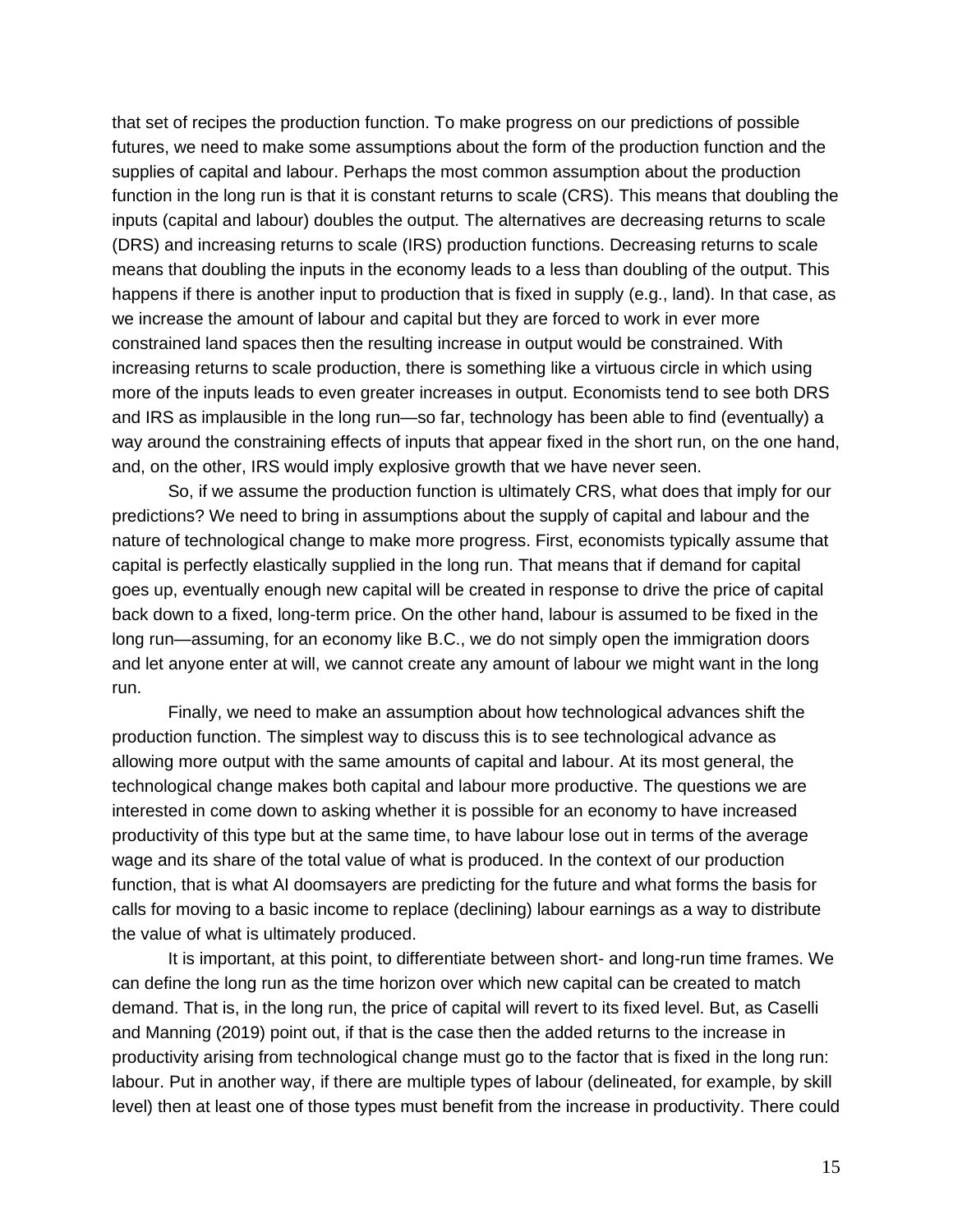that set of recipes the production function. To make progress on our predictions of possible futures, we need to make some assumptions about the form of the production function and the supplies of capital and labour. Perhaps the most common assumption about the production function in the long run is that it is constant returns to scale (CRS). This means that doubling the inputs (capital and labour) doubles the output. The alternatives are decreasing returns to scale (DRS) and increasing returns to scale (IRS) production functions. Decreasing returns to scale means that doubling the inputs in the economy leads to a less than doubling of the output. This happens if there is another input to production that is fixed in supply (e.g., land). In that case, as we increase the amount of labour and capital but they are forced to work in ever more constrained land spaces then the resulting increase in output would be constrained. With increasing returns to scale production, there is something like a virtuous circle in which using more of the inputs leads to even greater increases in output. Economists tend to see both DRS and IRS as implausible in the long run—so far, technology has been able to find (eventually) a way around the constraining effects of inputs that appear fixed in the short run, on the one hand, and, on the other, IRS would imply explosive growth that we have never seen.

So, if we assume the production function is ultimately CRS, what does that imply for our predictions? We need to bring in assumptions about the supply of capital and labour and the nature of technological change to make more progress. First, economists typically assume that capital is perfectly elastically supplied in the long run. That means that if demand for capital goes up, eventually enough new capital will be created in response to drive the price of capital back down to a fixed, long-term price. On the other hand, labour is assumed to be fixed in the long run—assuming, for an economy like B.C., we do not simply open the immigration doors and let anyone enter at will, we cannot create any amount of labour we might want in the long run.

Finally, we need to make an assumption about how technological advances shift the production function. The simplest way to discuss this is to see technological advance as allowing more output with the same amounts of capital and labour. At its most general, the technological change makes both capital and labour more productive. The questions we are interested in come down to asking whether it is possible for an economy to have increased productivity of this type but at the same time, to have labour lose out in terms of the average wage and its share of the total value of what is produced. In the context of our production function, that is what AI doomsayers are predicting for the future and what forms the basis for calls for moving to a basic income to replace (declining) labour earnings as a way to distribute the value of what is ultimately produced.

It is important, at this point, to differentiate between short- and long-run time frames. We can define the long run as the time horizon over which new capital can be created to match demand. That is, in the long run, the price of capital will revert to its fixed level. But, as Caselli and Manning (2019) point out, if that is the case then the added returns to the increase in productivity arising from technological change must go to the factor that is fixed in the long run: labour. Put in another way, if there are multiple types of labour (delineated, for example, by skill level) then at least one of those types must benefit from the increase in productivity. There could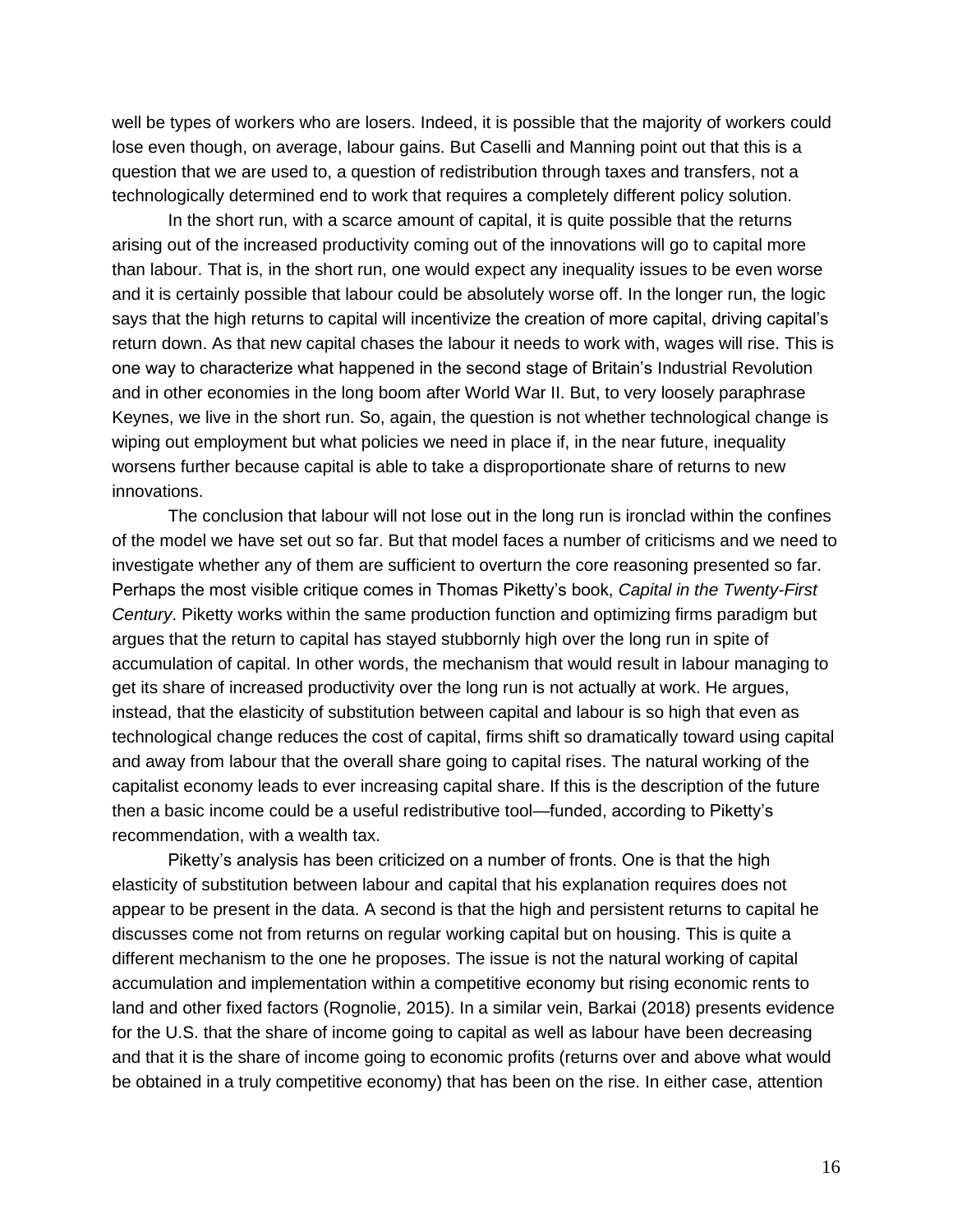well be types of workers who are losers. Indeed, it is possible that the majority of workers could lose even though, on average, labour gains. But Caselli and Manning point out that this is a question that we are used to, a question of redistribution through taxes and transfers, not a technologically determined end to work that requires a completely different policy solution.

In the short run, with a scarce amount of capital, it is quite possible that the returns arising out of the increased productivity coming out of the innovations will go to capital more than labour. That is, in the short run, one would expect any inequality issues to be even worse and it is certainly possible that labour could be absolutely worse off. In the longer run, the logic says that the high returns to capital will incentivize the creation of more capital, driving capital's return down. As that new capital chases the labour it needs to work with, wages will rise. This is one way to characterize what happened in the second stage of Britain's Industrial Revolution and in other economies in the long boom after World War II. But, to very loosely paraphrase Keynes, we live in the short run. So, again, the question is not whether technological change is wiping out employment but what policies we need in place if, in the near future, inequality worsens further because capital is able to take a disproportionate share of returns to new innovations.

The conclusion that labour will not lose out in the long run is ironclad within the confines of the model we have set out so far. But that model faces a number of criticisms and we need to investigate whether any of them are sufficient to overturn the core reasoning presented so far. Perhaps the most visible critique comes in Thomas Piketty's book, *Capital in the Twenty-First Century*. Piketty works within the same production function and optimizing firms paradigm but argues that the return to capital has stayed stubbornly high over the long run in spite of accumulation of capital. In other words, the mechanism that would result in labour managing to get its share of increased productivity over the long run is not actually at work. He argues, instead, that the elasticity of substitution between capital and labour is so high that even as technological change reduces the cost of capital, firms shift so dramatically toward using capital and away from labour that the overall share going to capital rises. The natural working of the capitalist economy leads to ever increasing capital share. If this is the description of the future then a basic income could be a useful redistributive tool—funded, according to Piketty's recommendation, with a wealth tax.

Piketty's analysis has been criticized on a number of fronts. One is that the high elasticity of substitution between labour and capital that his explanation requires does not appear to be present in the data. A second is that the high and persistent returns to capital he discusses come not from returns on regular working capital but on housing. This is quite a different mechanism to the one he proposes. The issue is not the natural working of capital accumulation and implementation within a competitive economy but rising economic rents to land and other fixed factors (Rognolie, 2015). In a similar vein, Barkai (2018) presents evidence for the U.S. that the share of income going to capital as well as labour have been decreasing and that it is the share of income going to economic profits (returns over and above what would be obtained in a truly competitive economy) that has been on the rise. In either case, attention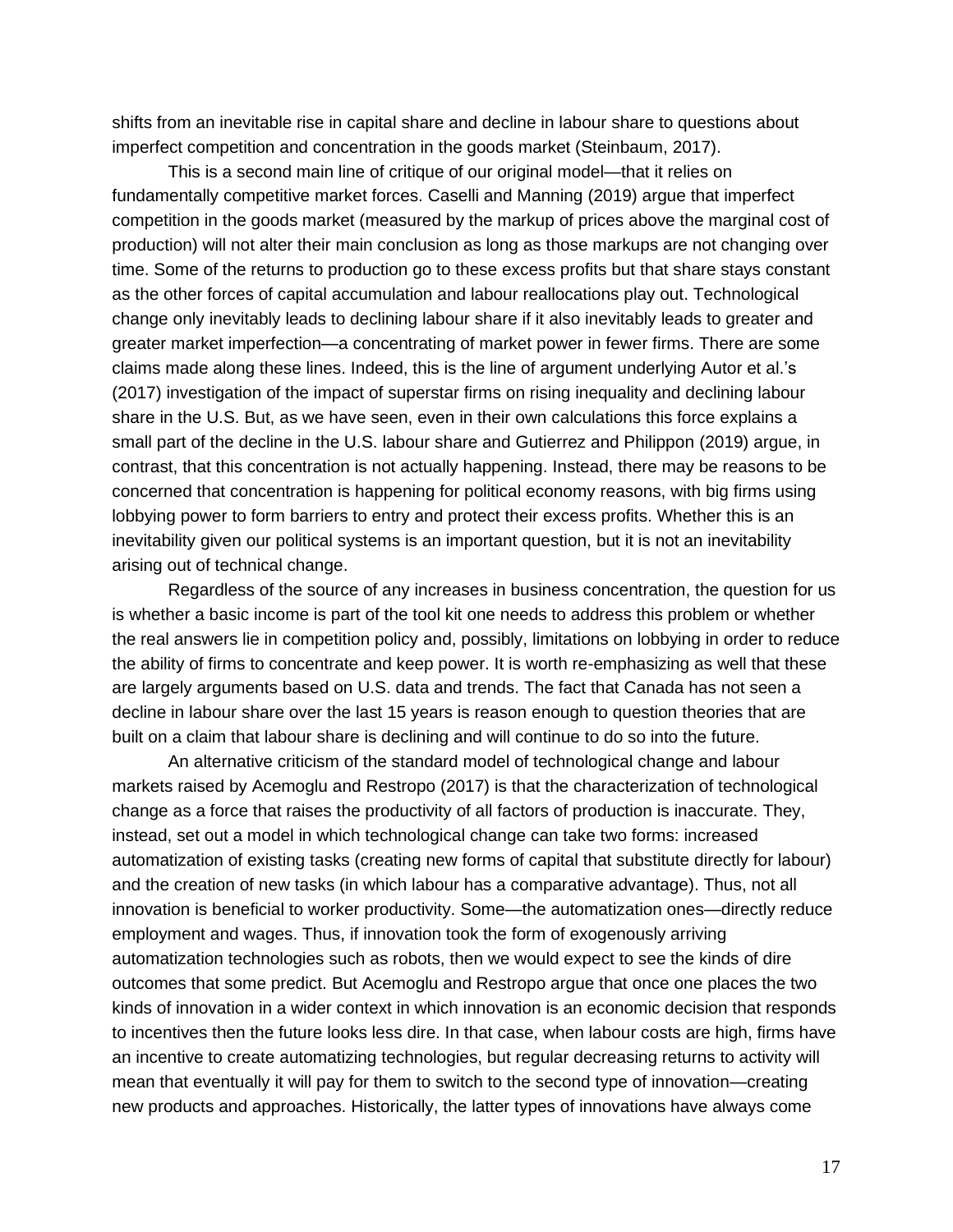shifts from an inevitable rise in capital share and decline in labour share to questions about imperfect competition and concentration in the goods market (Steinbaum, 2017).

This is a second main line of critique of our original model—that it relies on fundamentally competitive market forces. Caselli and Manning (2019) argue that imperfect competition in the goods market (measured by the markup of prices above the marginal cost of production) will not alter their main conclusion as long as those markups are not changing over time. Some of the returns to production go to these excess profits but that share stays constant as the other forces of capital accumulation and labour reallocations play out. Technological change only inevitably leads to declining labour share if it also inevitably leads to greater and greater market imperfection—a concentrating of market power in fewer firms. There are some claims made along these lines. Indeed, this is the line of argument underlying Autor et al.'s (2017) investigation of the impact of superstar firms on rising inequality and declining labour share in the U.S. But, as we have seen, even in their own calculations this force explains a small part of the decline in the U.S. labour share and Gutierrez and Philippon (2019) argue, in contrast, that this concentration is not actually happening. Instead, there may be reasons to be concerned that concentration is happening for political economy reasons, with big firms using lobbying power to form barriers to entry and protect their excess profits. Whether this is an inevitability given our political systems is an important question, but it is not an inevitability arising out of technical change.

Regardless of the source of any increases in business concentration, the question for us is whether a basic income is part of the tool kit one needs to address this problem or whether the real answers lie in competition policy and, possibly, limitations on lobbying in order to reduce the ability of firms to concentrate and keep power. It is worth re-emphasizing as well that these are largely arguments based on U.S. data and trends. The fact that Canada has not seen a decline in labour share over the last 15 years is reason enough to question theories that are built on a claim that labour share is declining and will continue to do so into the future.

An alternative criticism of the standard model of technological change and labour markets raised by Acemoglu and Restropo (2017) is that the characterization of technological change as a force that raises the productivity of all factors of production is inaccurate. They, instead, set out a model in which technological change can take two forms: increased automatization of existing tasks (creating new forms of capital that substitute directly for labour) and the creation of new tasks (in which labour has a comparative advantage). Thus, not all innovation is beneficial to worker productivity. Some—the automatization ones—directly reduce employment and wages. Thus, if innovation took the form of exogenously arriving automatization technologies such as robots, then we would expect to see the kinds of dire outcomes that some predict. But Acemoglu and Restropo argue that once one places the two kinds of innovation in a wider context in which innovation is an economic decision that responds to incentives then the future looks less dire. In that case, when labour costs are high, firms have an incentive to create automatizing technologies, but regular decreasing returns to activity will mean that eventually it will pay for them to switch to the second type of innovation—creating new products and approaches. Historically, the latter types of innovations have always come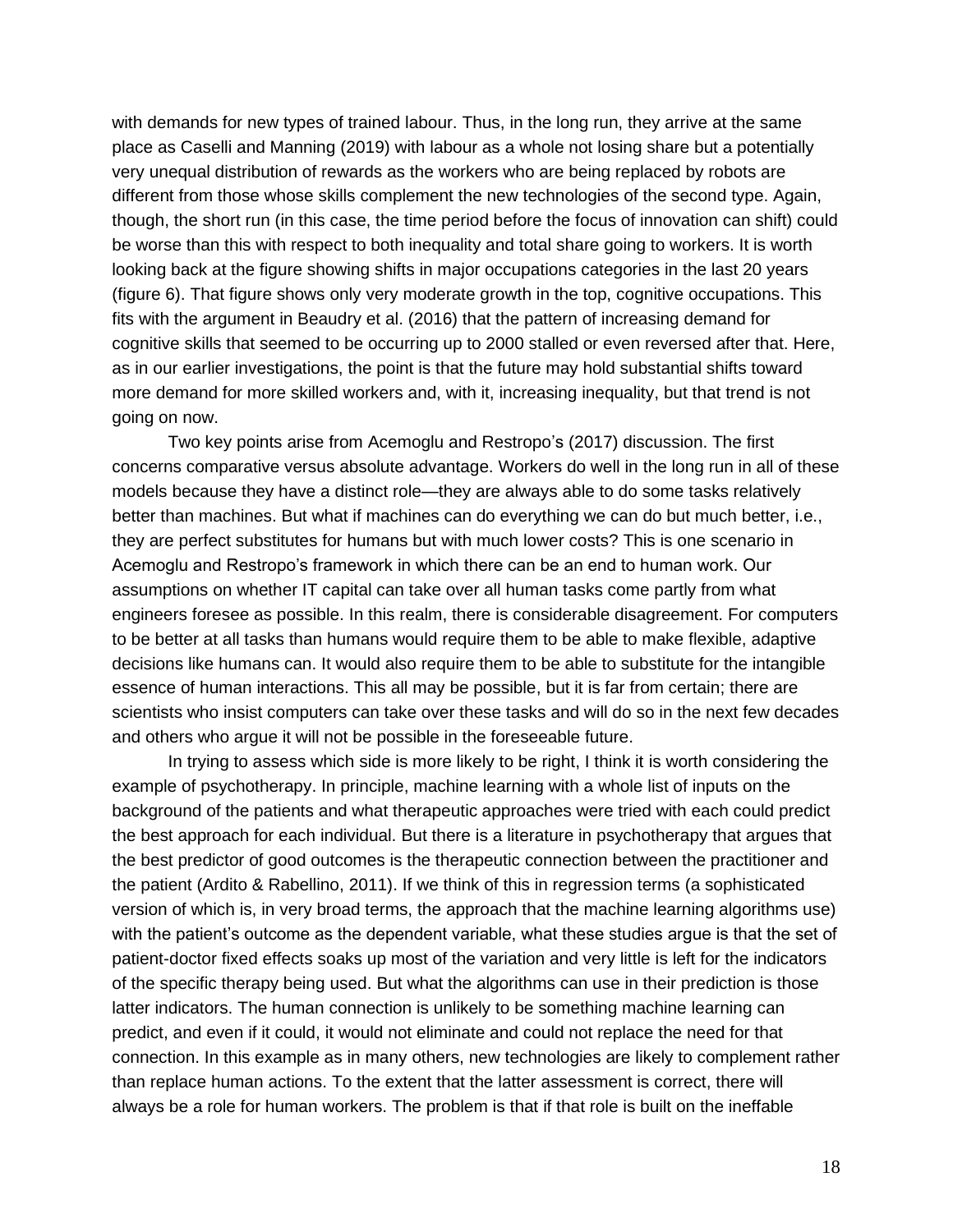with demands for new types of trained labour. Thus, in the long run, they arrive at the same place as Caselli and Manning (2019) with labour as a whole not losing share but a potentially very unequal distribution of rewards as the workers who are being replaced by robots are different from those whose skills complement the new technologies of the second type. Again, though, the short run (in this case, the time period before the focus of innovation can shift) could be worse than this with respect to both inequality and total share going to workers. It is worth looking back at the figure showing shifts in major occupations categories in the last 20 years (figure 6). That figure shows only very moderate growth in the top, cognitive occupations. This fits with the argument in Beaudry et al. (2016) that the pattern of increasing demand for cognitive skills that seemed to be occurring up to 2000 stalled or even reversed after that. Here, as in our earlier investigations, the point is that the future may hold substantial shifts toward more demand for more skilled workers and, with it, increasing inequality, but that trend is not going on now.

Two key points arise from Acemoglu and Restropo's (2017) discussion. The first concerns comparative versus absolute advantage. Workers do well in the long run in all of these models because they have a distinct role—they are always able to do some tasks relatively better than machines. But what if machines can do everything we can do but much better, i.e., they are perfect substitutes for humans but with much lower costs? This is one scenario in Acemoglu and Restropo's framework in which there can be an end to human work. Our assumptions on whether IT capital can take over all human tasks come partly from what engineers foresee as possible. In this realm, there is considerable disagreement. For computers to be better at all tasks than humans would require them to be able to make flexible, adaptive decisions like humans can. It would also require them to be able to substitute for the intangible essence of human interactions. This all may be possible, but it is far from certain; there are scientists who insist computers can take over these tasks and will do so in the next few decades and others who argue it will not be possible in the foreseeable future.

In trying to assess which side is more likely to be right, I think it is worth considering the example of psychotherapy. In principle, machine learning with a whole list of inputs on the background of the patients and what therapeutic approaches were tried with each could predict the best approach for each individual. But there is a literature in psychotherapy that argues that the best predictor of good outcomes is the therapeutic connection between the practitioner and the patient (Ardito & Rabellino, 2011). If we think of this in regression terms (a sophisticated version of which is, in very broad terms, the approach that the machine learning algorithms use) with the patient's outcome as the dependent variable, what these studies argue is that the set of patient-doctor fixed effects soaks up most of the variation and very little is left for the indicators of the specific therapy being used. But what the algorithms can use in their prediction is those latter indicators. The human connection is unlikely to be something machine learning can predict, and even if it could, it would not eliminate and could not replace the need for that connection. In this example as in many others, new technologies are likely to complement rather than replace human actions. To the extent that the latter assessment is correct, there will always be a role for human workers. The problem is that if that role is built on the ineffable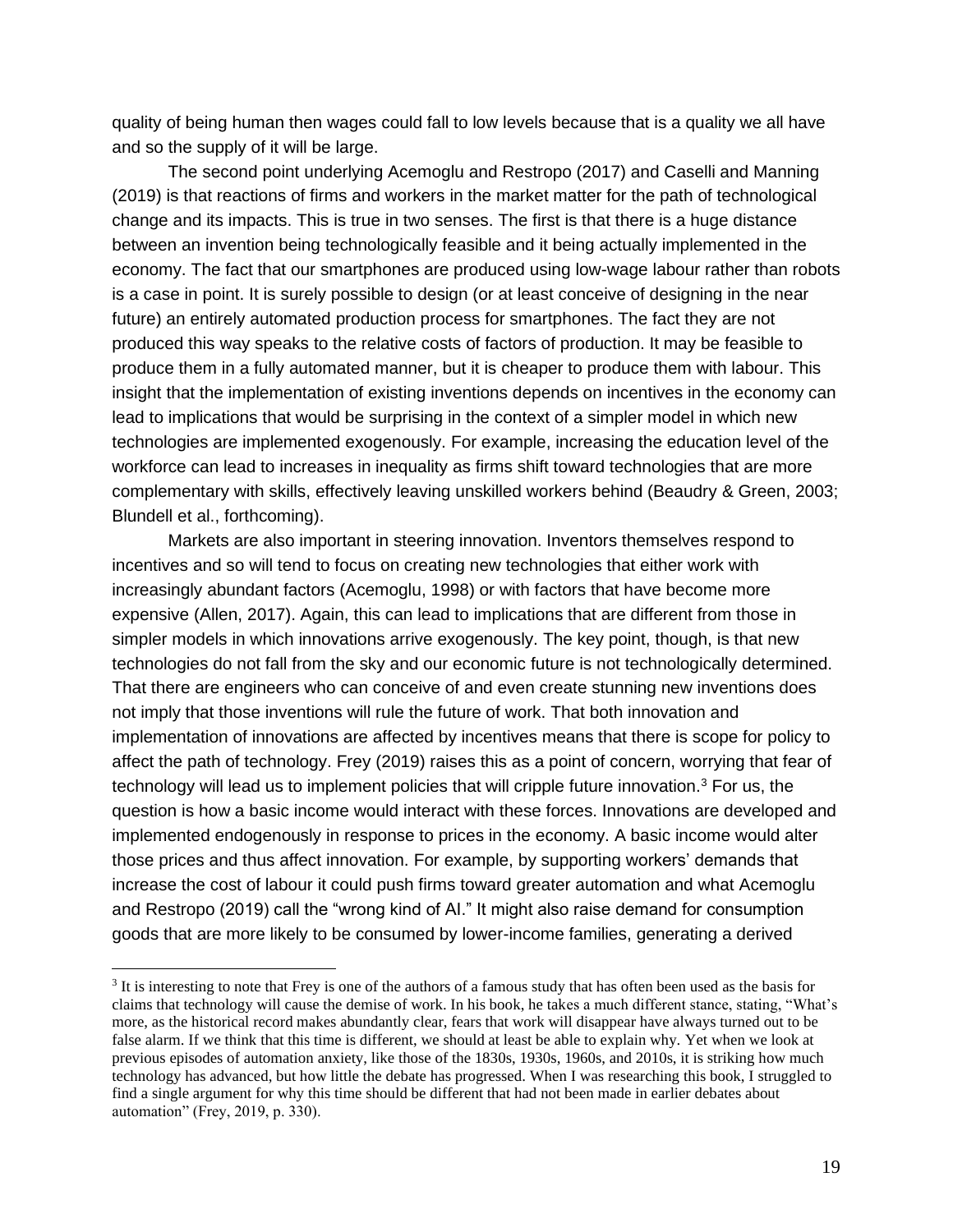quality of being human then wages could fall to low levels because that is a quality we all have and so the supply of it will be large.

The second point underlying Acemoglu and Restropo (2017) and Caselli and Manning (2019) is that reactions of firms and workers in the market matter for the path of technological change and its impacts. This is true in two senses. The first is that there is a huge distance between an invention being technologically feasible and it being actually implemented in the economy. The fact that our smartphones are produced using low-wage labour rather than robots is a case in point. It is surely possible to design (or at least conceive of designing in the near future) an entirely automated production process for smartphones. The fact they are not produced this way speaks to the relative costs of factors of production. It may be feasible to produce them in a fully automated manner, but it is cheaper to produce them with labour. This insight that the implementation of existing inventions depends on incentives in the economy can lead to implications that would be surprising in the context of a simpler model in which new technologies are implemented exogenously. For example, increasing the education level of the workforce can lead to increases in inequality as firms shift toward technologies that are more complementary with skills, effectively leaving unskilled workers behind (Beaudry & Green, 2003; Blundell et al., forthcoming).

Markets are also important in steering innovation. Inventors themselves respond to incentives and so will tend to focus on creating new technologies that either work with increasingly abundant factors (Acemoglu, 1998) or with factors that have become more expensive (Allen, 2017). Again, this can lead to implications that are different from those in simpler models in which innovations arrive exogenously. The key point, though, is that new technologies do not fall from the sky and our economic future is not technologically determined. That there are engineers who can conceive of and even create stunning new inventions does not imply that those inventions will rule the future of work. That both innovation and implementation of innovations are affected by incentives means that there is scope for policy to affect the path of technology. Frey (2019) raises this as a point of concern, worrying that fear of technology will lead us to implement policies that will cripple future innovation.<sup>3</sup> For us, the question is how a basic income would interact with these forces. Innovations are developed and implemented endogenously in response to prices in the economy. A basic income would alter those prices and thus affect innovation. For example, by supporting workers' demands that increase the cost of labour it could push firms toward greater automation and what Acemoglu and Restropo (2019) call the "wrong kind of AI." It might also raise demand for consumption goods that are more likely to be consumed by lower-income families, generating a derived

<sup>&</sup>lt;sup>3</sup> It is interesting to note that Frey is one of the authors of a famous study that has often been used as the basis for claims that technology will cause the demise of work. In his book, he takes a much different stance, stating, "What's more, as the historical record makes abundantly clear, fears that work will disappear have always turned out to be false alarm. If we think that this time is different, we should at least be able to explain why. Yet when we look at previous episodes of automation anxiety, like those of the 1830s, 1930s, 1960s, and 2010s, it is striking how much technology has advanced, but how little the debate has progressed. When I was researching this book, I struggled to find a single argument for why this time should be different that had not been made in earlier debates about automation" (Frey, 2019, p. 330).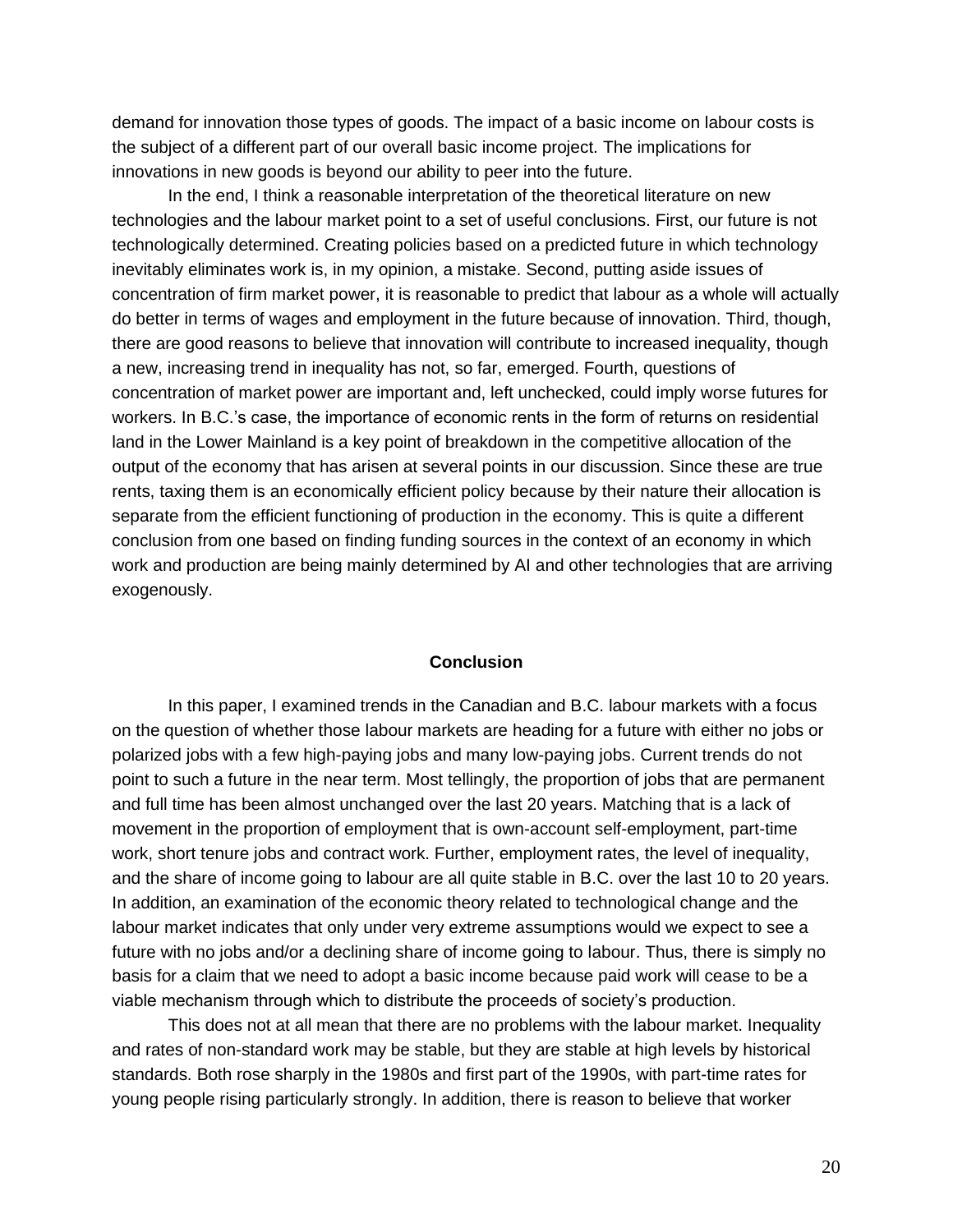demand for innovation those types of goods. The impact of a basic income on labour costs is the subject of a different part of our overall basic income project. The implications for innovations in new goods is beyond our ability to peer into the future.

In the end, I think a reasonable interpretation of the theoretical literature on new technologies and the labour market point to a set of useful conclusions. First, our future is not technologically determined. Creating policies based on a predicted future in which technology inevitably eliminates work is, in my opinion, a mistake. Second, putting aside issues of concentration of firm market power, it is reasonable to predict that labour as a whole will actually do better in terms of wages and employment in the future because of innovation. Third, though, there are good reasons to believe that innovation will contribute to increased inequality, though a new, increasing trend in inequality has not, so far, emerged. Fourth, questions of concentration of market power are important and, left unchecked, could imply worse futures for workers. In B.C.'s case, the importance of economic rents in the form of returns on residential land in the Lower Mainland is a key point of breakdown in the competitive allocation of the output of the economy that has arisen at several points in our discussion. Since these are true rents, taxing them is an economically efficient policy because by their nature their allocation is separate from the efficient functioning of production in the economy. This is quite a different conclusion from one based on finding funding sources in the context of an economy in which work and production are being mainly determined by AI and other technologies that are arriving exogenously.

#### **Conclusion**

In this paper, I examined trends in the Canadian and B.C. labour markets with a focus on the question of whether those labour markets are heading for a future with either no jobs or polarized jobs with a few high-paying jobs and many low-paying jobs. Current trends do not point to such a future in the near term. Most tellingly, the proportion of jobs that are permanent and full time has been almost unchanged over the last 20 years. Matching that is a lack of movement in the proportion of employment that is own-account self-employment, part-time work, short tenure jobs and contract work. Further, employment rates, the level of inequality, and the share of income going to labour are all quite stable in B.C. over the last 10 to 20 years. In addition, an examination of the economic theory related to technological change and the labour market indicates that only under very extreme assumptions would we expect to see a future with no jobs and/or a declining share of income going to labour. Thus, there is simply no basis for a claim that we need to adopt a basic income because paid work will cease to be a viable mechanism through which to distribute the proceeds of society's production.

This does not at all mean that there are no problems with the labour market. Inequality and rates of non-standard work may be stable, but they are stable at high levels by historical standards. Both rose sharply in the 1980s and first part of the 1990s, with part-time rates for young people rising particularly strongly. In addition, there is reason to believe that worker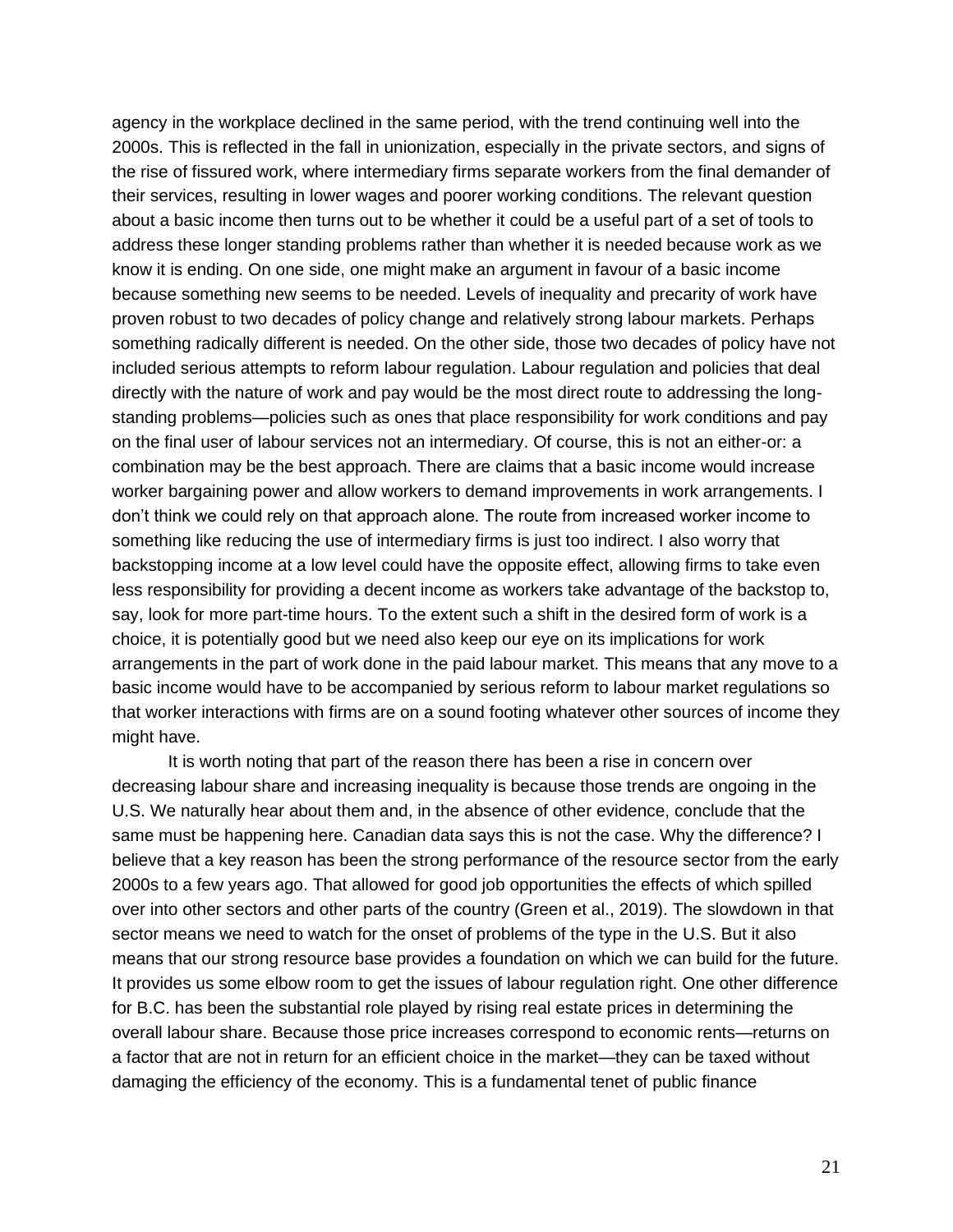agency in the workplace declined in the same period, with the trend continuing well into the 2000s. This is reflected in the fall in unionization, especially in the private sectors, and signs of the rise of fissured work, where intermediary firms separate workers from the final demander of their services, resulting in lower wages and poorer working conditions. The relevant question about a basic income then turns out to be whether it could be a useful part of a set of tools to address these longer standing problems rather than whether it is needed because work as we know it is ending. On one side, one might make an argument in favour of a basic income because something new seems to be needed. Levels of inequality and precarity of work have proven robust to two decades of policy change and relatively strong labour markets. Perhaps something radically different is needed. On the other side, those two decades of policy have not included serious attempts to reform labour regulation. Labour regulation and policies that deal directly with the nature of work and pay would be the most direct route to addressing the longstanding problems—policies such as ones that place responsibility for work conditions and pay on the final user of labour services not an intermediary. Of course, this is not an either-or: a combination may be the best approach. There are claims that a basic income would increase worker bargaining power and allow workers to demand improvements in work arrangements. I don't think we could rely on that approach alone. The route from increased worker income to something like reducing the use of intermediary firms is just too indirect. I also worry that backstopping income at a low level could have the opposite effect, allowing firms to take even less responsibility for providing a decent income as workers take advantage of the backstop to, say, look for more part-time hours. To the extent such a shift in the desired form of work is a choice, it is potentially good but we need also keep our eye on its implications for work arrangements in the part of work done in the paid labour market. This means that any move to a basic income would have to be accompanied by serious reform to labour market regulations so that worker interactions with firms are on a sound footing whatever other sources of income they might have.

It is worth noting that part of the reason there has been a rise in concern over decreasing labour share and increasing inequality is because those trends are ongoing in the U.S. We naturally hear about them and, in the absence of other evidence, conclude that the same must be happening here. Canadian data says this is not the case. Why the difference? I believe that a key reason has been the strong performance of the resource sector from the early 2000s to a few years ago. That allowed for good job opportunities the effects of which spilled over into other sectors and other parts of the country (Green et al., 2019). The slowdown in that sector means we need to watch for the onset of problems of the type in the U.S. But it also means that our strong resource base provides a foundation on which we can build for the future. It provides us some elbow room to get the issues of labour regulation right. One other difference for B.C. has been the substantial role played by rising real estate prices in determining the overall labour share. Because those price increases correspond to economic rents—returns on a factor that are not in return for an efficient choice in the market—they can be taxed without damaging the efficiency of the economy. This is a fundamental tenet of public finance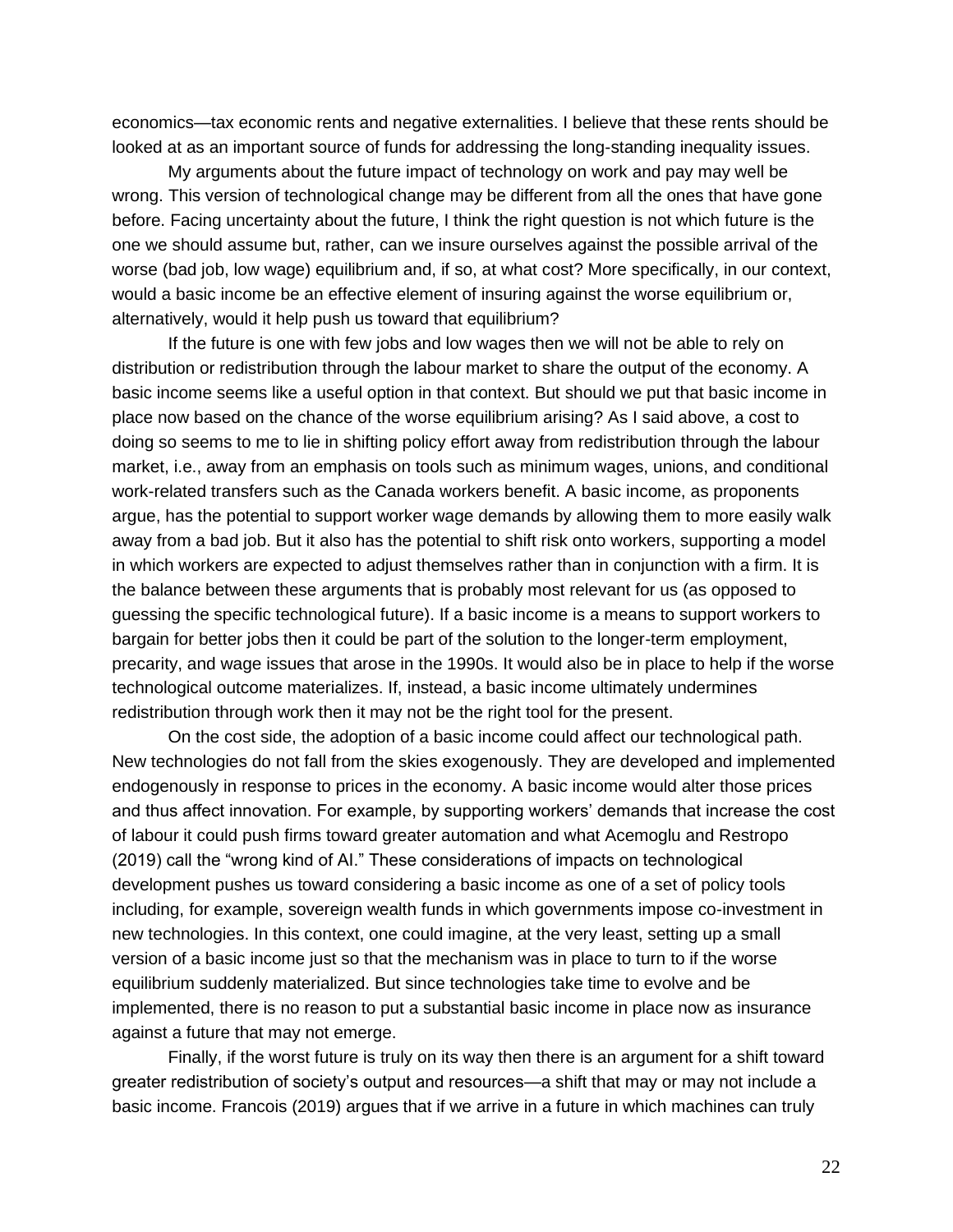economics—tax economic rents and negative externalities. I believe that these rents should be looked at as an important source of funds for addressing the long-standing inequality issues.

My arguments about the future impact of technology on work and pay may well be wrong. This version of technological change may be different from all the ones that have gone before. Facing uncertainty about the future, I think the right question is not which future is the one we should assume but, rather, can we insure ourselves against the possible arrival of the worse (bad job, low wage) equilibrium and, if so, at what cost? More specifically, in our context, would a basic income be an effective element of insuring against the worse equilibrium or, alternatively, would it help push us toward that equilibrium?

If the future is one with few jobs and low wages then we will not be able to rely on distribution or redistribution through the labour market to share the output of the economy. A basic income seems like a useful option in that context. But should we put that basic income in place now based on the chance of the worse equilibrium arising? As I said above, a cost to doing so seems to me to lie in shifting policy effort away from redistribution through the labour market, i.e., away from an emphasis on tools such as minimum wages, unions, and conditional work-related transfers such as the Canada workers benefit. A basic income, as proponents argue, has the potential to support worker wage demands by allowing them to more easily walk away from a bad job. But it also has the potential to shift risk onto workers, supporting a model in which workers are expected to adjust themselves rather than in conjunction with a firm. It is the balance between these arguments that is probably most relevant for us (as opposed to guessing the specific technological future). If a basic income is a means to support workers to bargain for better jobs then it could be part of the solution to the longer-term employment, precarity, and wage issues that arose in the 1990s. It would also be in place to help if the worse technological outcome materializes. If, instead, a basic income ultimately undermines redistribution through work then it may not be the right tool for the present.

On the cost side, the adoption of a basic income could affect our technological path. New technologies do not fall from the skies exogenously. They are developed and implemented endogenously in response to prices in the economy. A basic income would alter those prices and thus affect innovation. For example, by supporting workers' demands that increase the cost of labour it could push firms toward greater automation and what Acemoglu and Restropo (2019) call the "wrong kind of AI." These considerations of impacts on technological development pushes us toward considering a basic income as one of a set of policy tools including, for example, sovereign wealth funds in which governments impose co-investment in new technologies. In this context, one could imagine, at the very least, setting up a small version of a basic income just so that the mechanism was in place to turn to if the worse equilibrium suddenly materialized. But since technologies take time to evolve and be implemented, there is no reason to put a substantial basic income in place now as insurance against a future that may not emerge.

Finally, if the worst future is truly on its way then there is an argument for a shift toward greater redistribution of society's output and resources—a shift that may or may not include a basic income. Francois (2019) argues that if we arrive in a future in which machines can truly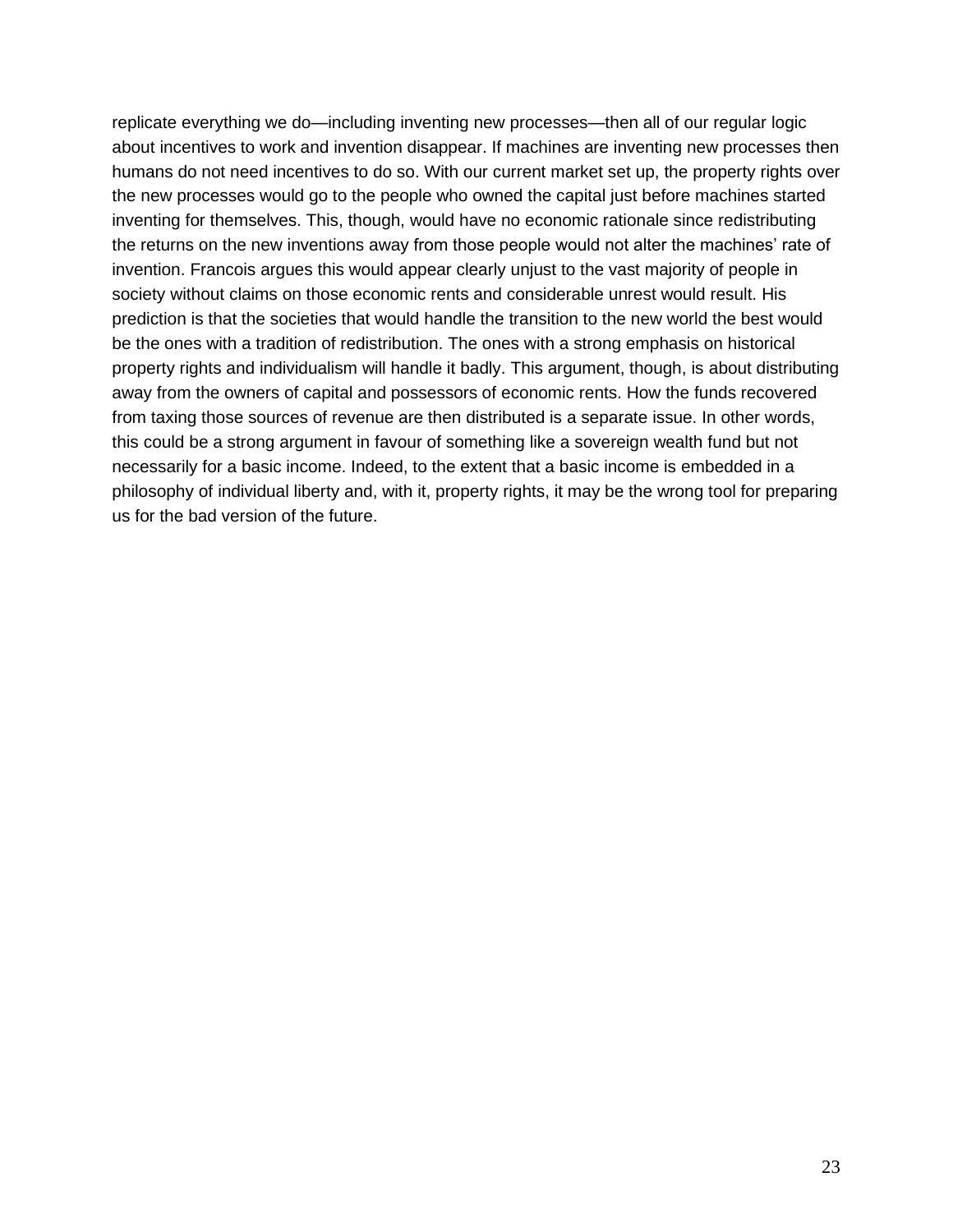replicate everything we do—including inventing new processes—then all of our regular logic about incentives to work and invention disappear. If machines are inventing new processes then humans do not need incentives to do so. With our current market set up, the property rights over the new processes would go to the people who owned the capital just before machines started inventing for themselves. This, though, would have no economic rationale since redistributing the returns on the new inventions away from those people would not alter the machines' rate of invention. Francois argues this would appear clearly unjust to the vast majority of people in society without claims on those economic rents and considerable unrest would result. His prediction is that the societies that would handle the transition to the new world the best would be the ones with a tradition of redistribution. The ones with a strong emphasis on historical property rights and individualism will handle it badly. This argument, though, is about distributing away from the owners of capital and possessors of economic rents. How the funds recovered from taxing those sources of revenue are then distributed is a separate issue. In other words, this could be a strong argument in favour of something like a sovereign wealth fund but not necessarily for a basic income. Indeed, to the extent that a basic income is embedded in a philosophy of individual liberty and, with it, property rights, it may be the wrong tool for preparing us for the bad version of the future.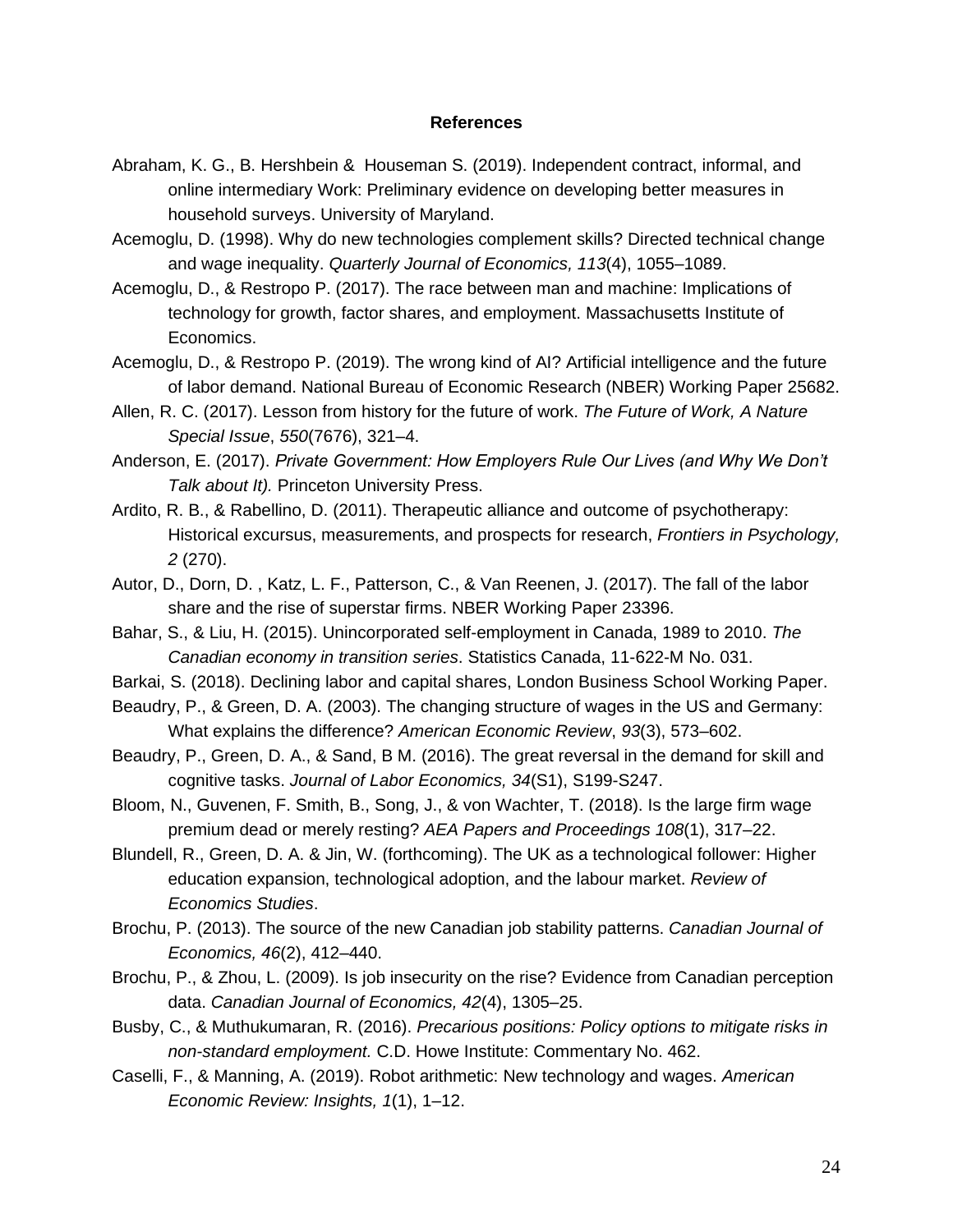### **References**

- Abraham, K. G., B. Hershbein & Houseman S. (2019). Independent contract, informal, and online intermediary Work: Preliminary evidence on developing better measures in household surveys. University of Maryland.
- Acemoglu, D. (1998). Why do new technologies complement skills? Directed technical change and wage inequality. *Quarterly Journal of Economics, 113*(4), 1055–1089.
- Acemoglu, D., & Restropo P. (2017). The race between man and machine: Implications of technology for growth, factor shares, and employment. Massachusetts Institute of Economics.
- Acemoglu, D., & Restropo P. (2019). The wrong kind of AI? Artificial intelligence and the future of labor demand. National Bureau of Economic Research (NBER) Working Paper 25682.
- Allen, R. C. (2017). Lesson from history for the future of work. *The Future of Work, A Nature Special Issue*, *550*(7676), 321–4.
- Anderson, E. (2017). *Private Government: How Employers Rule Our Lives (and Why We Don't Talk about It).* Princeton University Press.
- Ardito, R. B., & Rabellino, D. (2011). Therapeutic alliance and outcome of psychotherapy: Historical excursus, measurements, and prospects for research, *Frontiers in Psychology, 2* (270).
- Autor, D., Dorn, D. , Katz, L. F., Patterson, C., & Van Reenen, J. (2017). The fall of the labor share and the rise of superstar firms. NBER Working Paper 23396.
- Bahar, S., & Liu, H. (2015). Unincorporated self-employment in Canada, 1989 to 2010. *The Canadian economy in transition series*. Statistics Canada, 11-622-M No. 031.
- Barkai, S. (2018). Declining labor and capital shares, London Business School Working Paper.
- Beaudry, P., & Green, D. A. (2003). The changing structure of wages in the US and Germany: What explains the difference? *American Economic Review*, *93*(3), 573–602.
- Beaudry, P., Green, D. A., & Sand, B M. (2016). The great reversal in the demand for skill and cognitive tasks. *Journal of Labor Economics, 34*(S1), S199-S247.
- Bloom, N., Guvenen, F. Smith, B., Song, J., & von Wachter, T. (2018). Is the large firm wage premium dead or merely resting? *AEA Papers and Proceedings 108*(1), 317–22.
- Blundell, R., Green, D. A. & Jin, W. (forthcoming). The UK as a technological follower: Higher education expansion, technological adoption, and the labour market. *Review of Economics Studies*.
- Brochu, P. (2013). The source of the new Canadian job stability patterns. *Canadian Journal of Economics, 46*(2), 412–440.
- Brochu, P., & Zhou, L. (2009). Is job insecurity on the rise? Evidence from Canadian perception data. *Canadian Journal of Economics, 42*(4), 1305–25.
- Busby, C., & Muthukumaran, R. (2016). *Precarious positions: Policy options to mitigate risks in non-standard employment.* C.D. Howe Institute: Commentary No. 462.
- Caselli, F., & Manning, A. (2019). Robot arithmetic: New technology and wages. *American Economic Review: Insights, 1*(1), 1–12.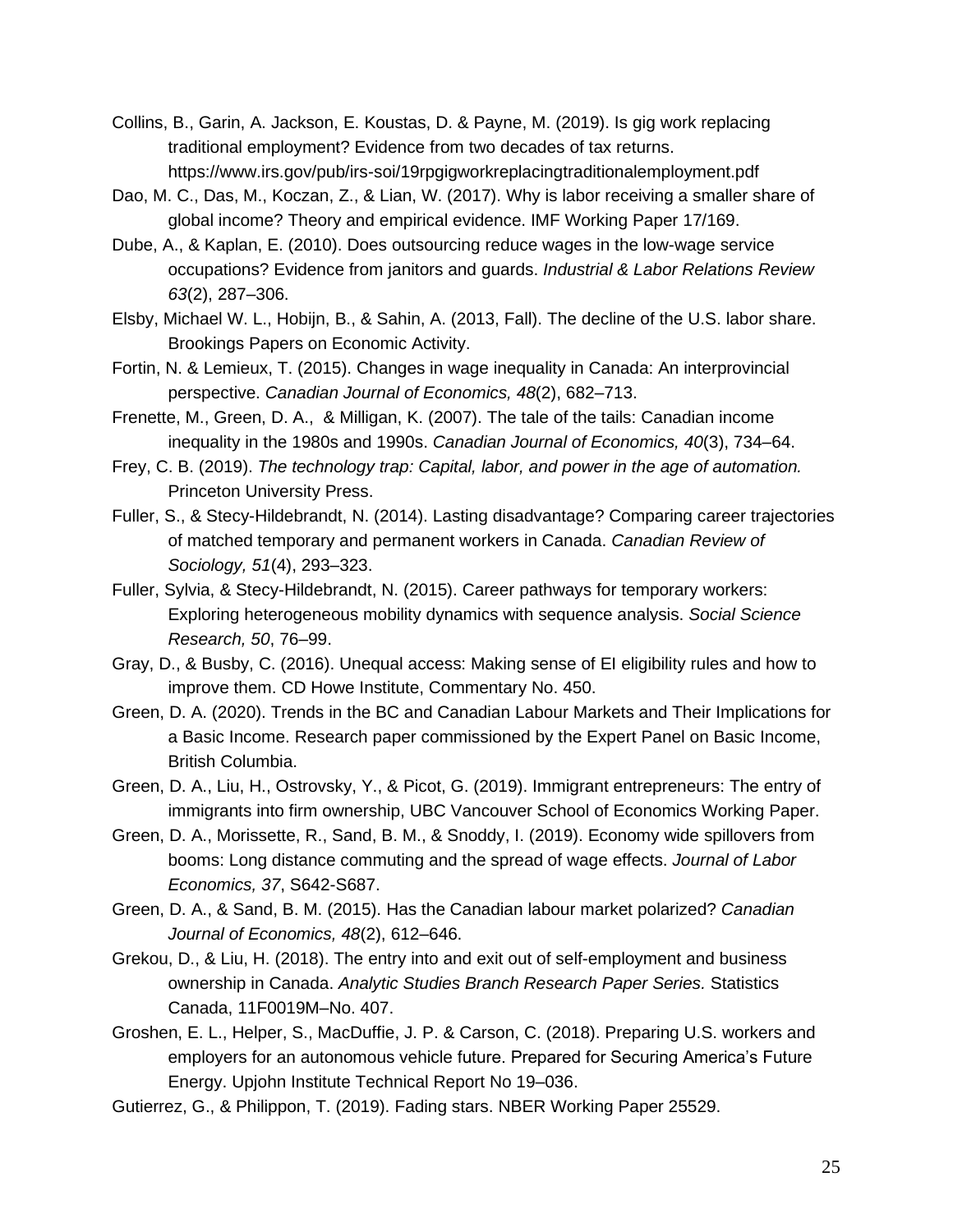- Collins, B., Garin, A. Jackson, E. Koustas, D. & Payne, M. (2019). Is gig work replacing traditional employment? Evidence from two decades of tax returns. https://www.irs.gov/pub/irs-soi/19rpgigworkreplacingtraditionalemployment.pdf
- Dao, M. C., Das, M., Koczan, Z., & Lian, W. (2017). Why is labor receiving a smaller share of global income? Theory and empirical evidence. IMF Working Paper 17/169.
- Dube, A., & Kaplan, E. (2010). Does outsourcing reduce wages in the low-wage service occupations? Evidence from janitors and guards. *Industrial & Labor Relations Review 63*(2), 287–306.
- Elsby, Michael W. L., Hobijn, B., & Sahin, A. (2013, Fall). The decline of the U.S. labor share. Brookings Papers on Economic Activity.
- Fortin, N. & Lemieux, T. (2015). Changes in wage inequality in Canada: An interprovincial perspective. *Canadian Journal of Economics, 48*(2), 682–713.
- Frenette, M., Green, D. A., & Milligan, K. (2007). The tale of the tails: Canadian income inequality in the 1980s and 1990s. *Canadian Journal of Economics, 40*(3), 734–64.
- Frey, C. B. (2019). *The technology trap: Capital, labor, and power in the age of automation.* Princeton University Press.
- Fuller, S., & Stecy-Hildebrandt, N. (2014). Lasting disadvantage? Comparing career trajectories of matched temporary and permanent workers in Canada. *Canadian Review of Sociology, 51*(4), 293–323.
- Fuller, Sylvia, & Stecy-Hildebrandt, N. (2015). Career pathways for temporary workers: Exploring heterogeneous mobility dynamics with sequence analysis. *Social Science Research, 50*, 76–99.
- Gray, D., & Busby, C. (2016). Unequal access: Making sense of EI eligibility rules and how to improve them. CD Howe Institute, Commentary No. 450.
- Green, D. A. (2020). Trends in the BC and Canadian Labour Markets and Their Implications for a Basic Income. Research paper commissioned by the Expert Panel on Basic Income, British Columbia.
- Green, D. A., Liu, H., Ostrovsky, Y., & Picot, G. (2019). Immigrant entrepreneurs: The entry of immigrants into firm ownership, UBC Vancouver School of Economics Working Paper.
- Green, D. A., Morissette, R., Sand, B. M., & Snoddy, I. (2019). Economy wide spillovers from booms: Long distance commuting and the spread of wage effects. *Journal of Labor Economics, 37*, S642-S687.
- Green, D. A., & Sand, B. M. (2015). Has the Canadian labour market polarized? *Canadian Journal of Economics, 48*(2), 612–646.
- Grekou, D., & Liu, H. (2018). The entry into and exit out of self-employment and business ownership in Canada. *Analytic Studies Branch Research Paper Series.* Statistics Canada, 11F0019M–No. 407.
- Groshen, E. L., Helper, S., MacDuffie, J. P. & Carson, C. (2018). Preparing U.S. workers and employers for an autonomous vehicle future. Prepared for Securing America's Future Energy. Upjohn Institute Technical Report No 19–036.
- Gutierrez, G., & Philippon, T. (2019). Fading stars. NBER Working Paper 25529.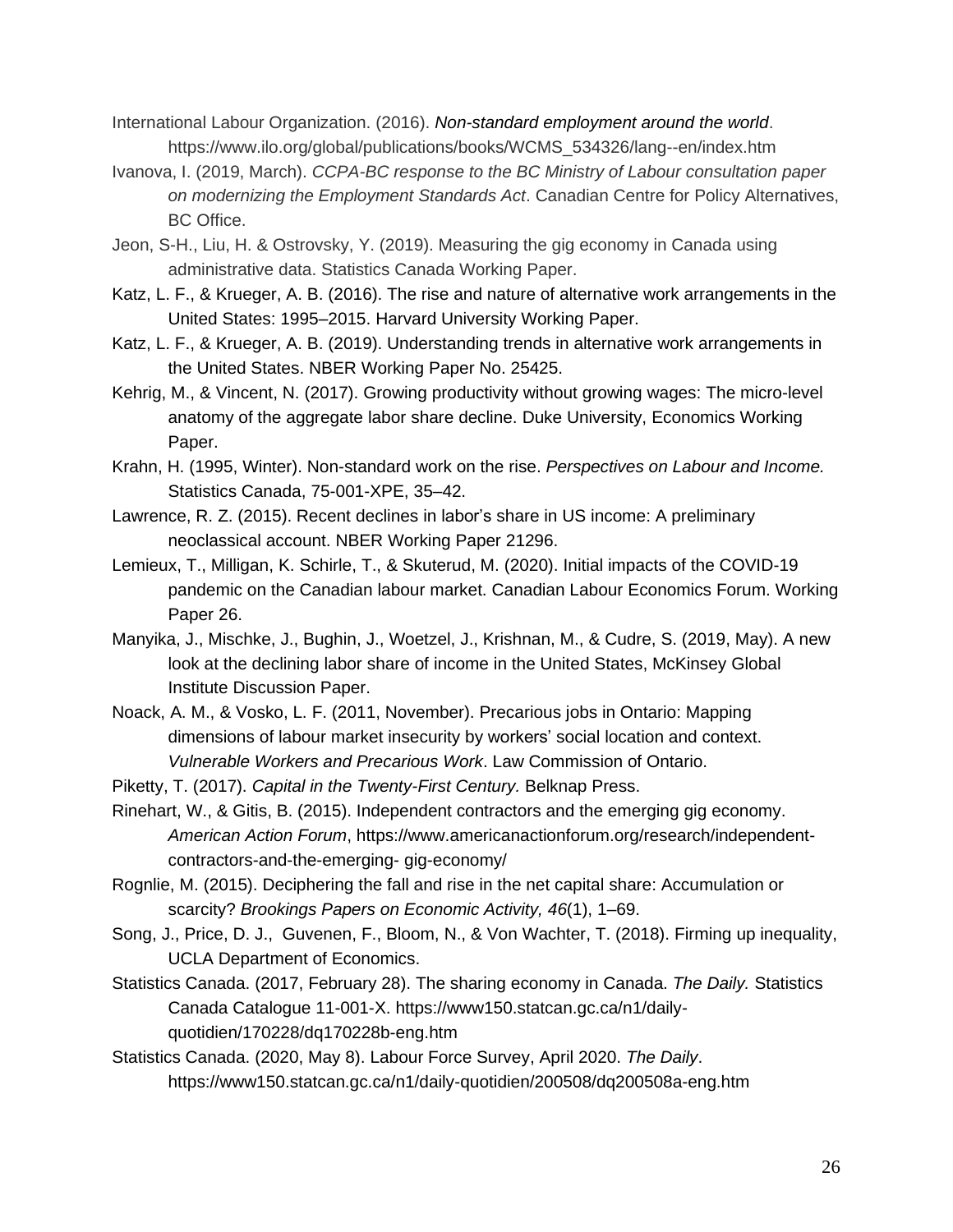International Labour Organization. (2016). *Non-standard employment around the world*. https://www.ilo.org/global/publications/books/WCMS\_534326/lang--en/index.htm

- Ivanova, I. (2019, March). *CCPA-BC response to the BC Ministry of Labour consultation paper on modernizing the Employment Standards Act*. Canadian Centre for Policy Alternatives, BC Office.
- Jeon, S-H., Liu, H. & Ostrovsky, Y. (2019). Measuring the gig economy in Canada using administrative data. Statistics Canada Working Paper.
- Katz, L. F., & Krueger, A. B. (2016). The rise and nature of alternative work arrangements in the United States: 1995–2015. Harvard University Working Paper.
- Katz, L. F., & Krueger, A. B. (2019). Understanding trends in alternative work arrangements in the United States. NBER Working Paper No. 25425.
- Kehrig, M., & Vincent, N. (2017). Growing productivity without growing wages: The micro-level anatomy of the aggregate labor share decline. Duke University, Economics Working Paper.
- Krahn, H. (1995, Winter). Non-standard work on the rise. *Perspectives on Labour and Income.* Statistics Canada, 75-001-XPE, 35–42.
- Lawrence, R. Z. (2015). Recent declines in labor's share in US income: A preliminary neoclassical account. NBER Working Paper 21296.
- Lemieux, T., Milligan, K. Schirle, T., & Skuterud, M. (2020). Initial impacts of the COVID-19 pandemic on the Canadian labour market. Canadian Labour Economics Forum. Working Paper 26.
- Manyika, J., Mischke, J., Bughin, J., Woetzel, J., Krishnan, M., & Cudre, S. (2019, May). A new look at the declining labor share of income in the United States, McKinsey Global Institute Discussion Paper.
- Noack, A. M., & Vosko, L. F. (2011, November). Precarious jobs in Ontario: Mapping dimensions of labour market insecurity by workers' social location and context. *Vulnerable Workers and Precarious Work*. Law Commission of Ontario.
- Piketty, T. (2017). *Capital in the Twenty-First Century.* Belknap Press.
- Rinehart, W., & Gitis, B. (2015). Independent contractors and the emerging gig economy. *American Action Forum*, https://www.americanactionforum.org/research/independentcontractors-and-the-emerging- gig-economy/
- Rognlie, M. (2015). Deciphering the fall and rise in the net capital share: Accumulation or scarcity? *Brookings Papers on Economic Activity, 46*(1), 1–69.
- Song, J., Price, D. J., Guvenen, F., Bloom, N., & Von Wachter, T. (2018). Firming up inequality, UCLA Department of Economics.
- Statistics Canada. (2017, February 28). The sharing economy in Canada. *The Daily.* Statistics Canada Catalogue 11-001-X. https://www150.statcan.gc.ca/n1/dailyquotidien/170228/dq170228b-eng.htm
- Statistics Canada. (2020, May 8). Labour Force Survey, April 2020. *The Daily*. https://www150.statcan.gc.ca/n1/daily-quotidien/200508/dq200508a-eng.htm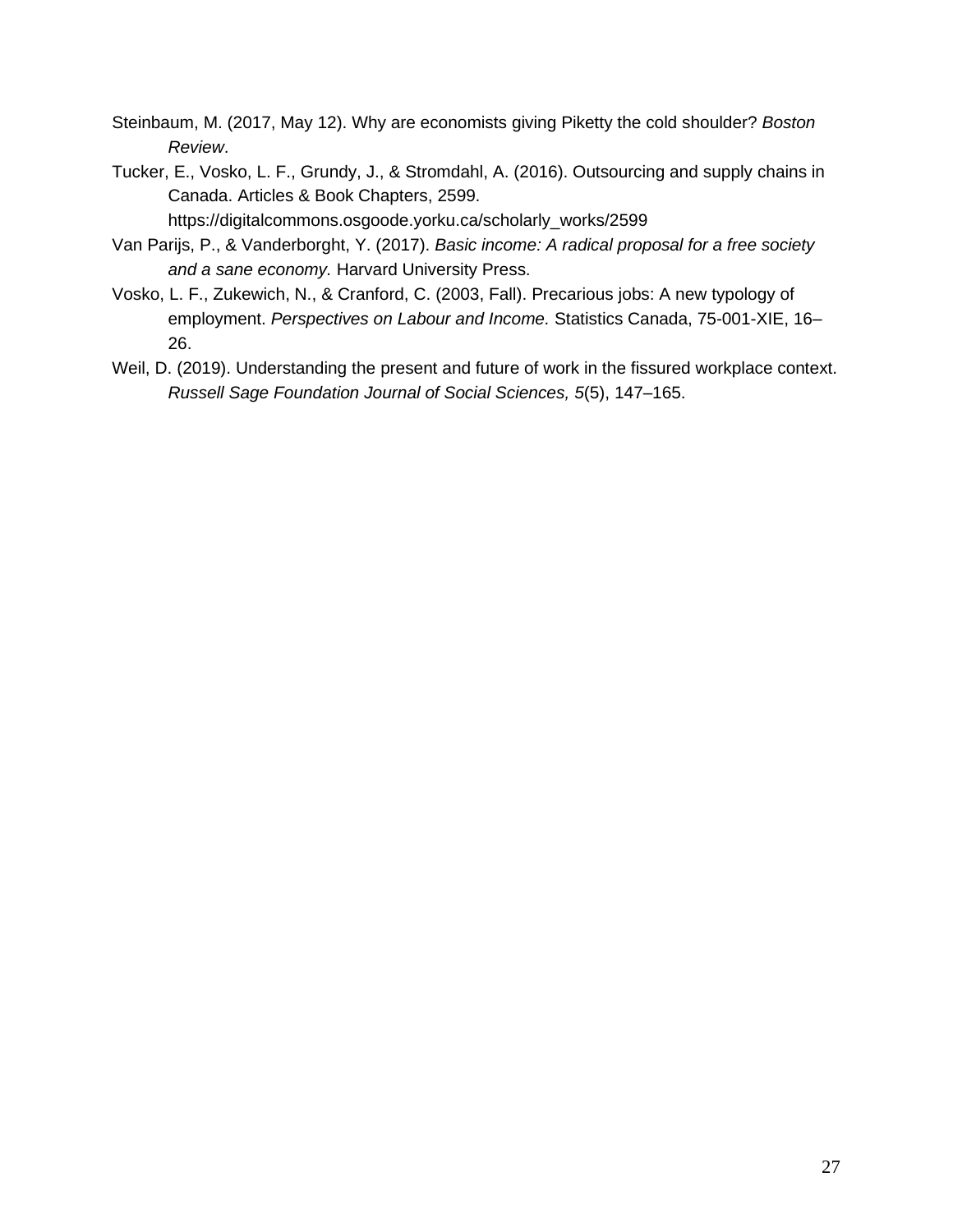- Steinbaum, M. (2017, May 12). Why are economists giving Piketty the cold shoulder? *Boston Review*.
- Tucker, E., Vosko, L. F., Grundy, J., & Stromdahl, A. (2016). Outsourcing and supply chains in Canada. Articles & Book Chapters, 2599.

https://digitalcommons.osgoode.yorku.ca/scholarly\_works/2599

- Van Parijs, P., & Vanderborght, Y. (2017). *Basic income: A radical proposal for a free society and a sane economy.* Harvard University Press.
- Vosko, L. F., Zukewich, N., & Cranford, C. (2003, Fall). Precarious jobs: A new typology of employment. *Perspectives on Labour and Income.* Statistics Canada, 75-001-XIE, 16– 26.
- Weil, D. (2019). Understanding the present and future of work in the fissured workplace context. *Russell Sage Foundation Journal of Social Sciences, 5*(5), 147–165.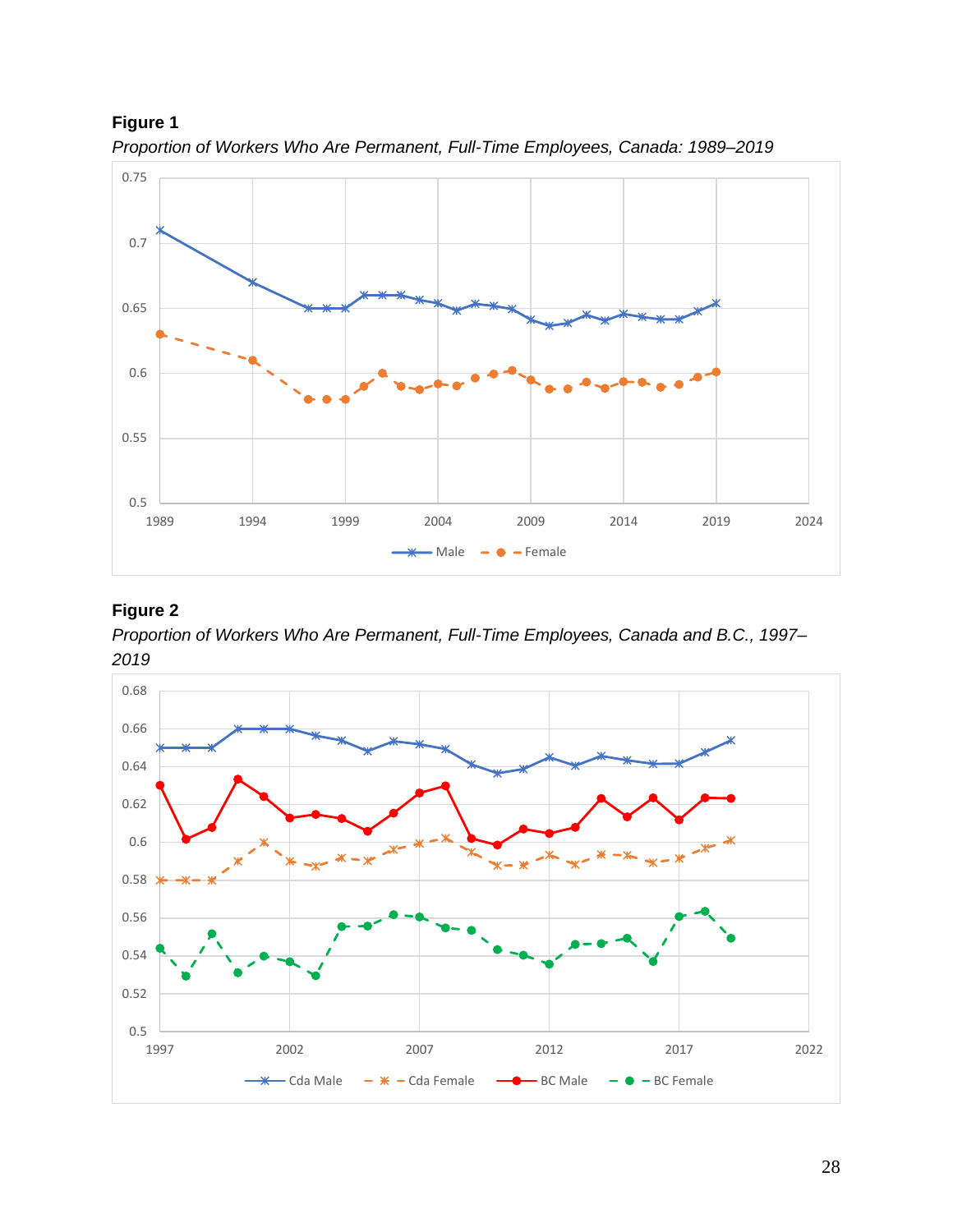

*Proportion of Workers Who Are Permanent, Full-Time Employees, Canada: 1989–2019*

# **Figure 2**

*Proportion of Workers Who Are Permanent, Full-Time Employees, Canada and B.C., 1997– 2019*

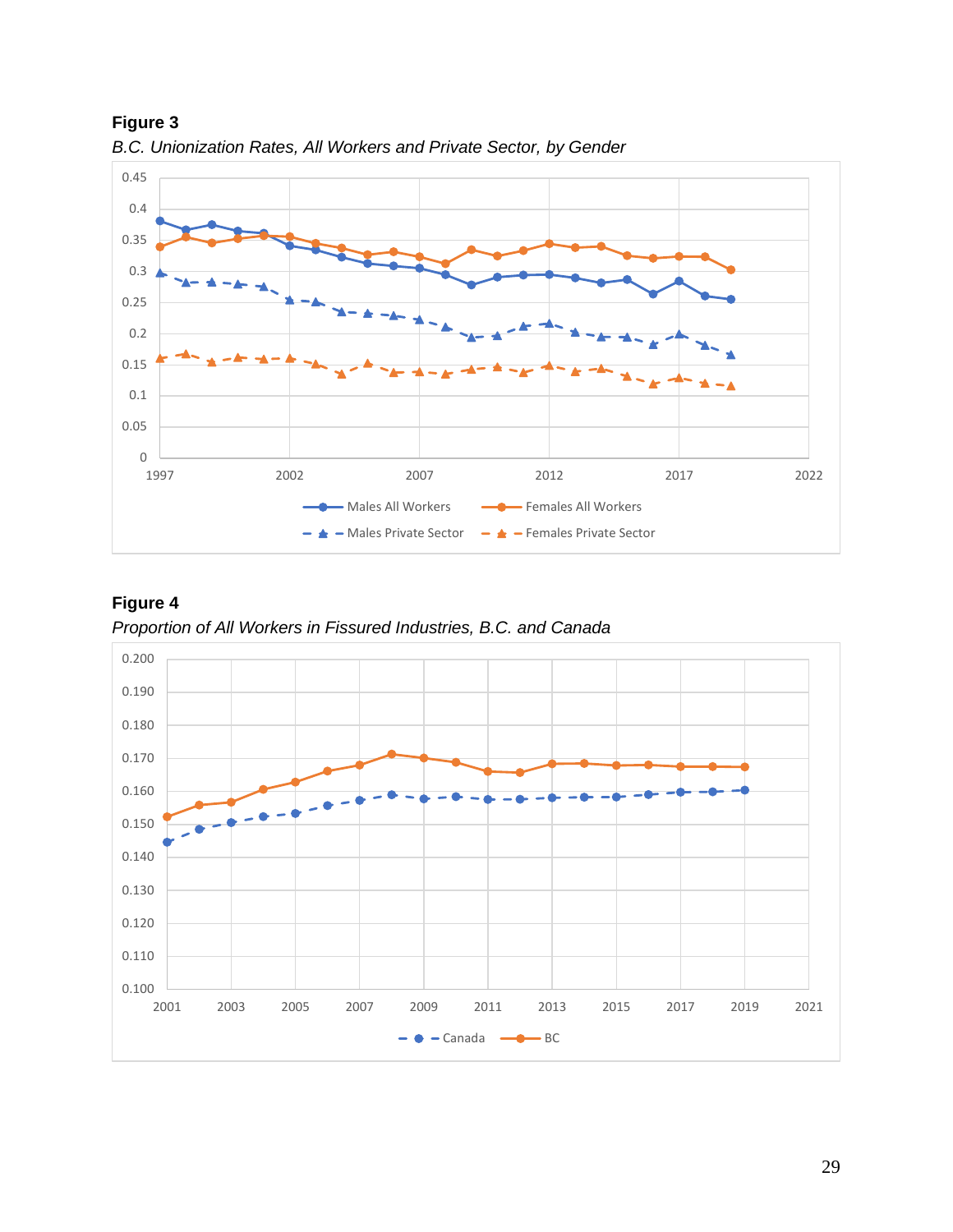

**Figure 3** *B.C. Unionization Rates, All Workers and Private Sector, by Gender*

**Figure 4** *Proportion of All Workers in Fissured Industries, B.C. and Canada*

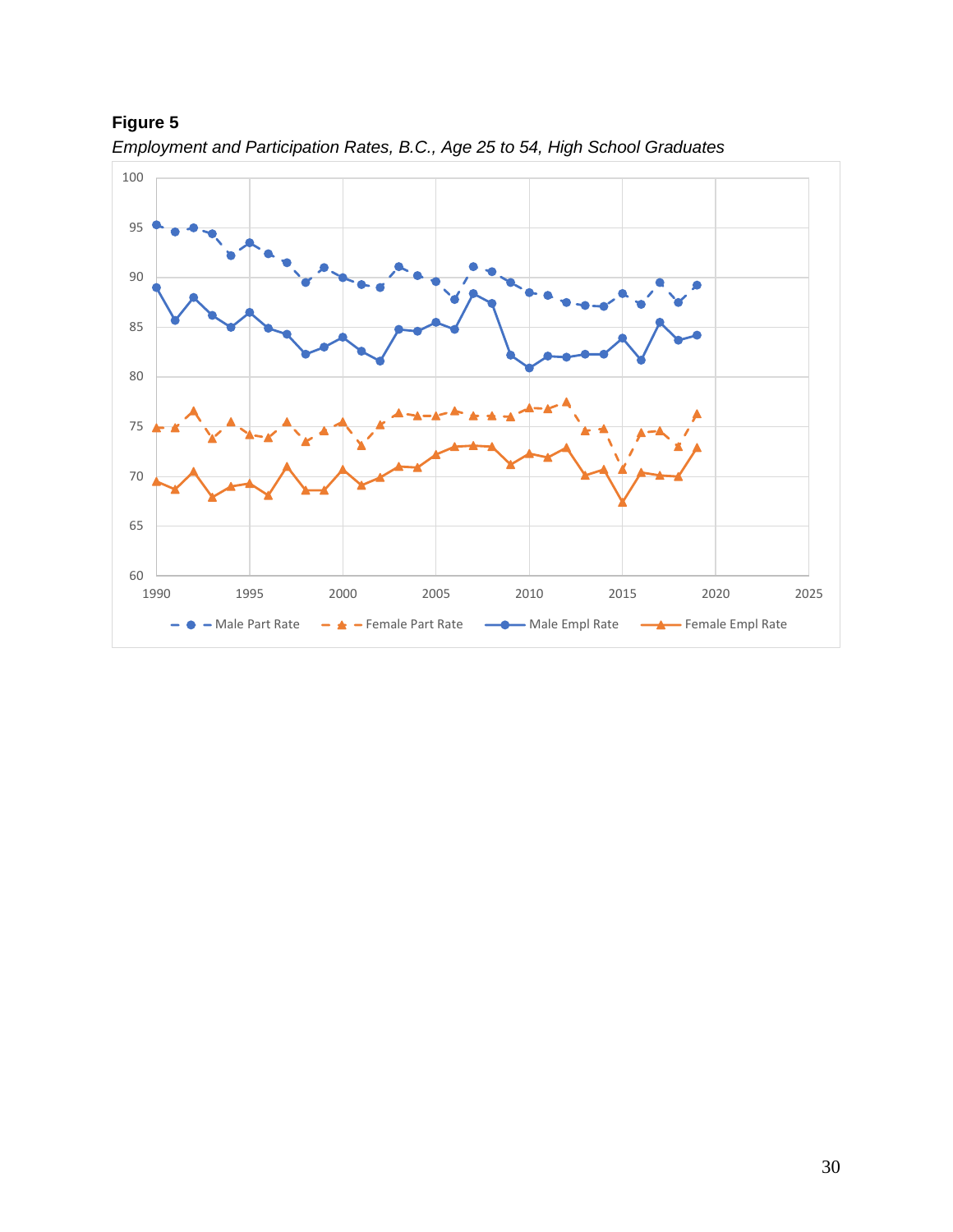

*Employment and Participation Rates, B.C., Age 25 to 54, High School Graduates*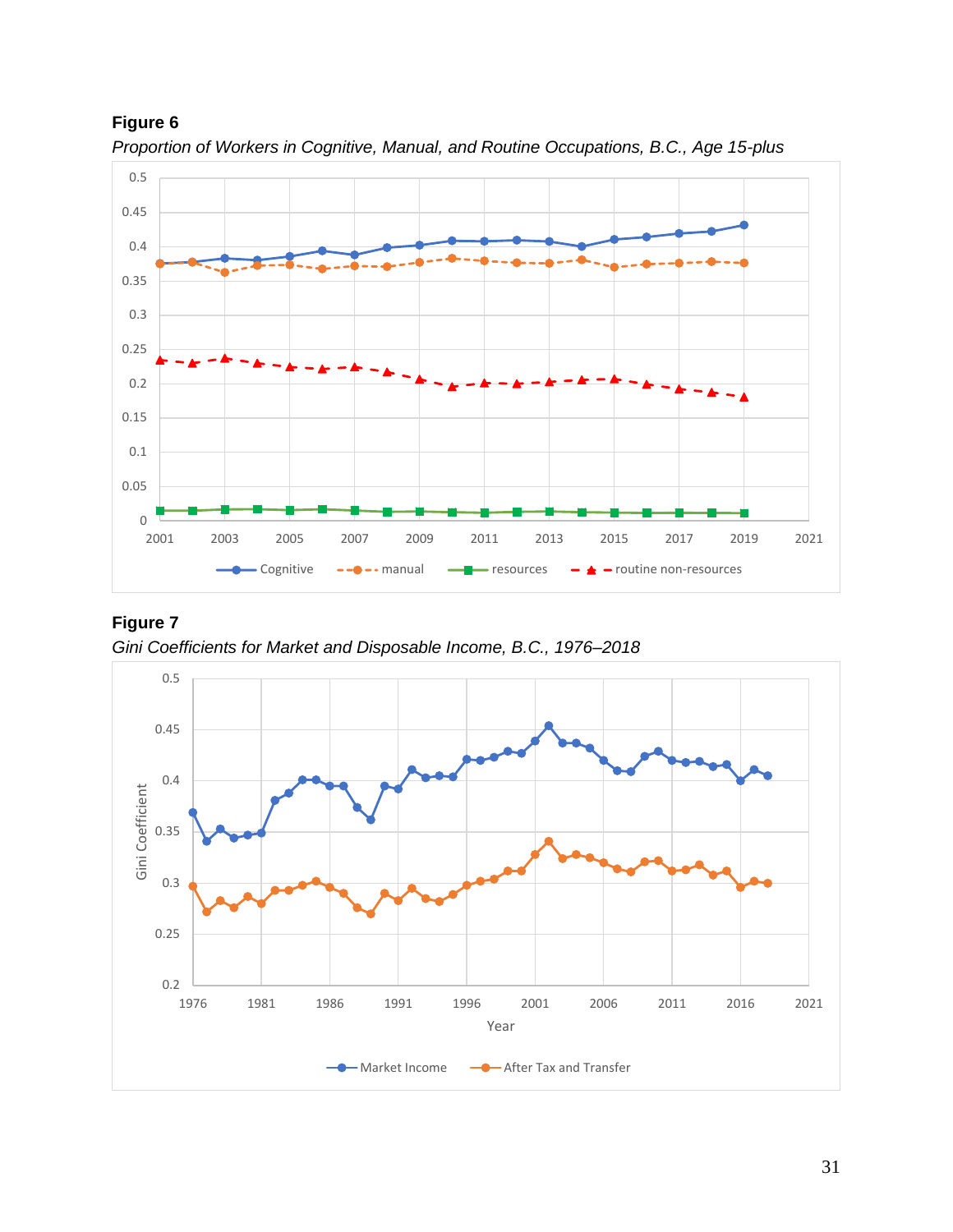

*Proportion of Workers in Cognitive, Manual, and Routine Occupations, B.C., Age 15-plus*